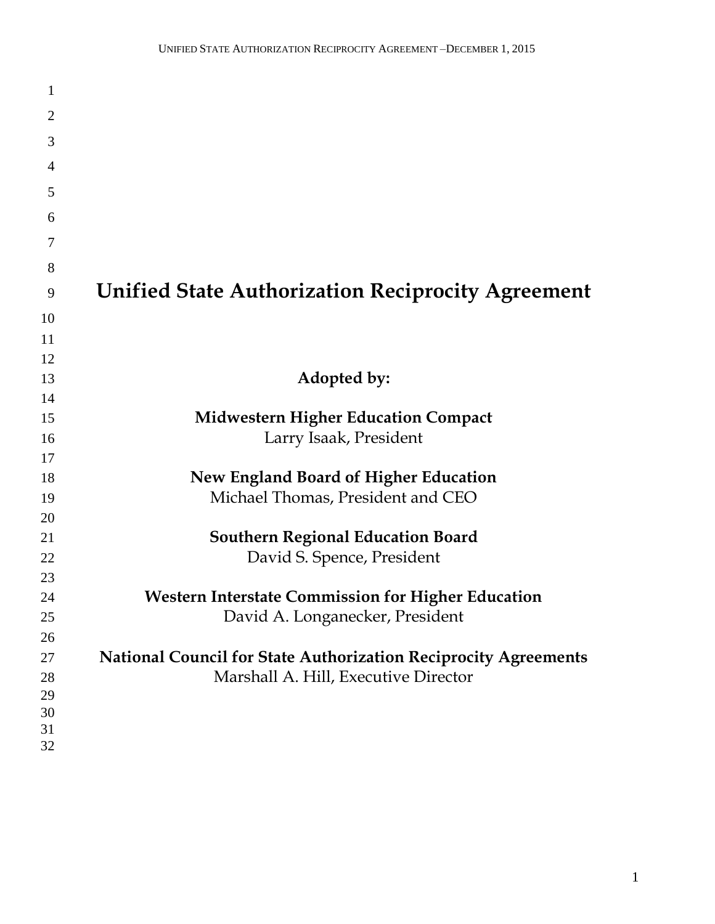| $\mathbf{1}$   |                                                                        |
|----------------|------------------------------------------------------------------------|
| $\overline{2}$ |                                                                        |
| 3              |                                                                        |
| 4              |                                                                        |
|                |                                                                        |
| 5              |                                                                        |
| 6              |                                                                        |
| 7              |                                                                        |
| 8              |                                                                        |
| 9              | <b>Unified State Authorization Reciprocity Agreement</b>               |
| 10             |                                                                        |
| 11             |                                                                        |
| 12             |                                                                        |
| 13             | Adopted by:                                                            |
| 14             |                                                                        |
| 15             | <b>Midwestern Higher Education Compact</b>                             |
| 16             | Larry Isaak, President                                                 |
| 17             |                                                                        |
| 18             | <b>New England Board of Higher Education</b>                           |
| 19             | Michael Thomas, President and CEO                                      |
| 20             |                                                                        |
| 21             | <b>Southern Regional Education Board</b>                               |
| 22             | David S. Spence, President                                             |
| 23             |                                                                        |
| 24             | <b>Western Interstate Commission for Higher Education</b>              |
| 25             | David A. Longanecker, President                                        |
| 26             |                                                                        |
| 27             | <b>National Council for State Authorization Reciprocity Agreements</b> |
| 28             | Marshall A. Hill, Executive Director                                   |
| 29             |                                                                        |
| 30             |                                                                        |
| 31             |                                                                        |
| 32             |                                                                        |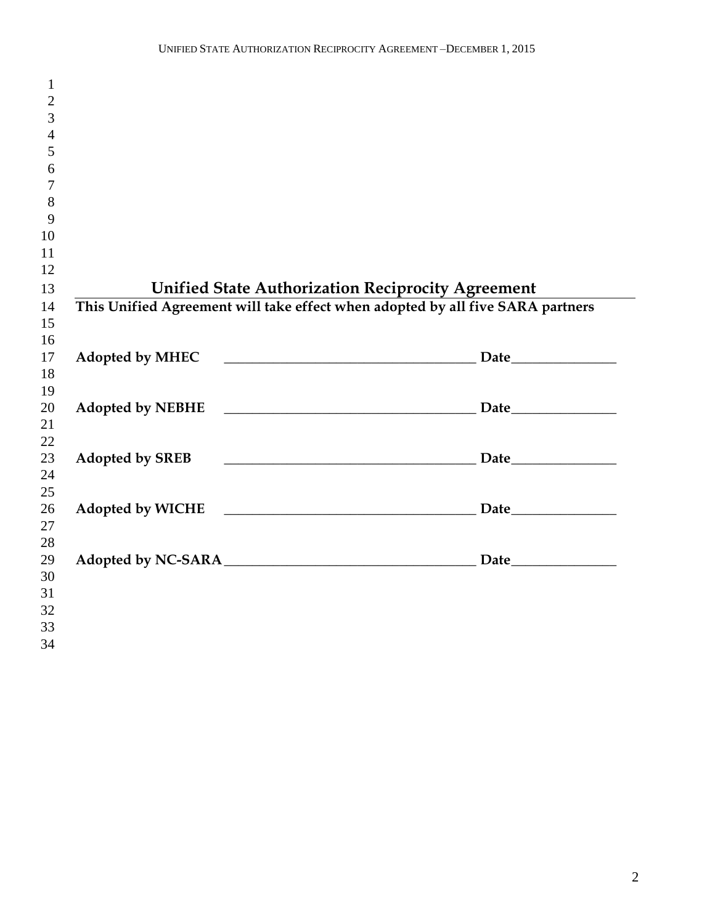| $\mathbf{1}$   |                                                                                |                                                          |
|----------------|--------------------------------------------------------------------------------|----------------------------------------------------------|
| $\mathbf{2}$   |                                                                                |                                                          |
| 3              |                                                                                |                                                          |
| $\overline{4}$ |                                                                                |                                                          |
| 5              |                                                                                |                                                          |
| 6              |                                                                                |                                                          |
| $\overline{7}$ |                                                                                |                                                          |
| 8              |                                                                                |                                                          |
| 9              |                                                                                |                                                          |
| 10             |                                                                                |                                                          |
| 11             |                                                                                |                                                          |
| 12             |                                                                                |                                                          |
| 13             |                                                                                | <b>Unified State Authorization Reciprocity Agreement</b> |
| 14             | This Unified Agreement will take effect when adopted by all five SARA partners |                                                          |
| 15             |                                                                                |                                                          |
| 16             |                                                                                |                                                          |
| 17             |                                                                                |                                                          |
| 18             |                                                                                |                                                          |
| 19             |                                                                                |                                                          |
| 20             |                                                                                |                                                          |
| 21             |                                                                                |                                                          |
| 22             |                                                                                |                                                          |
| 23             | <b>Adopted by SREB</b>                                                         |                                                          |
| 24             |                                                                                |                                                          |
| 25             |                                                                                |                                                          |
| 26             |                                                                                |                                                          |
| 27             |                                                                                |                                                          |
| 28             |                                                                                |                                                          |
| 29             |                                                                                |                                                          |
| 30             |                                                                                |                                                          |
| 31             |                                                                                |                                                          |
| 32             |                                                                                |                                                          |
| 33             |                                                                                |                                                          |
| 34             |                                                                                |                                                          |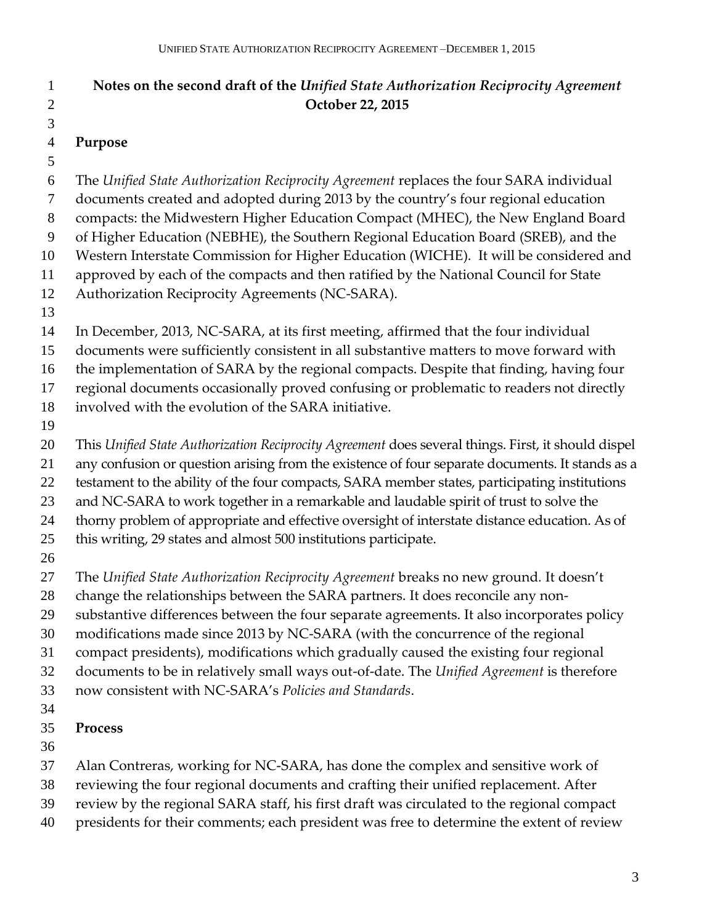## **Notes on the second draft of the** *Unified State Authorization Reciprocity Agreement* **October 22, 2015 Purpose**  The *Unified State Authorization Reciprocity Agreement* replaces the four SARA individual documents created and adopted during 2013 by the country's four regional education compacts: the Midwestern Higher Education Compact (MHEC), the New England Board of Higher Education (NEBHE), the Southern Regional Education Board (SREB), and the Western Interstate Commission for Higher Education (WICHE). It will be considered and approved by each of the compacts and then ratified by the National Council for State Authorization Reciprocity Agreements (NC-SARA). In December, 2013, NC-SARA, at its first meeting, affirmed that the four individual documents were sufficiently consistent in all substantive matters to move forward with the implementation of SARA by the regional compacts. Despite that finding, having four regional documents occasionally proved confusing or problematic to readers not directly involved with the evolution of the SARA initiative. This *Unified State Authorization Reciprocity Agreement* does several things. First, it should dispel any confusion or question arising from the existence of four separate documents. It stands as a testament to the ability of the four compacts, SARA member states, participating institutions and NC-SARA to work together in a remarkable and laudable spirit of trust to solve the thorny problem of appropriate and effective oversight of interstate distance education. As of this writing, 29 states and almost 500 institutions participate. The *Unified State Authorization Reciprocity Agreement* breaks no new ground*.* It doesn't change the relationships between the SARA partners. It does reconcile any non- substantive differences between the four separate agreements. It also incorporates policy modifications made since 2013 by NC-SARA (with the concurrence of the regional compact presidents), modifications which gradually caused the existing four regional documents to be in relatively small ways out-of-date. The *Unified Agreement* is therefore now consistent with NC-SARA's *Policies and Standards*. **Process** Alan Contreras, working for NC-SARA, has done the complex and sensitive work of reviewing the four regional documents and crafting their unified replacement. After review by the regional SARA staff, his first draft was circulated to the regional compact

presidents for their comments; each president was free to determine the extent of review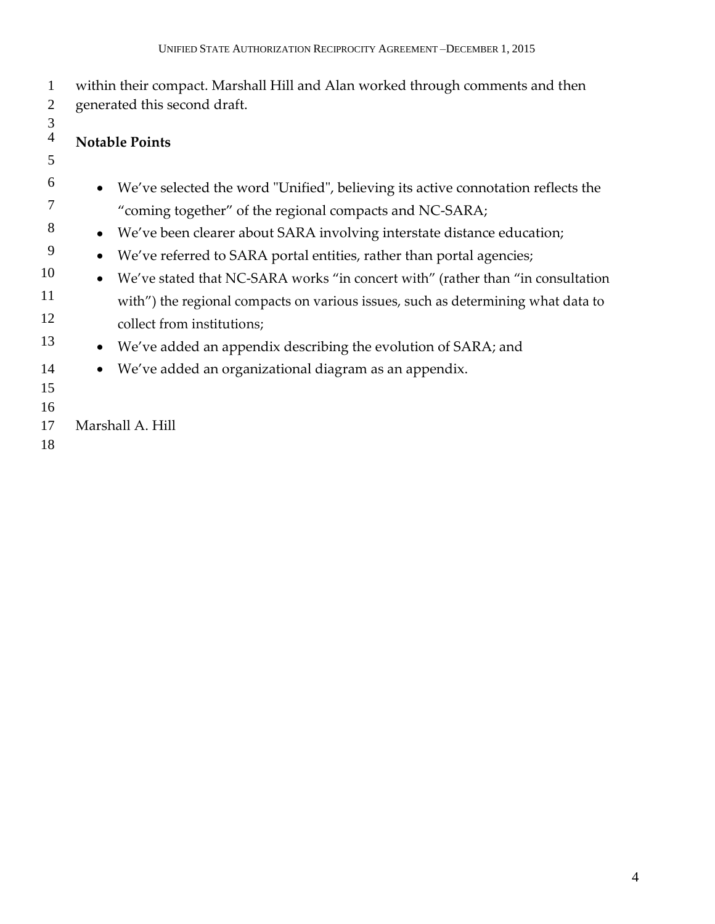| $\mathbf{1}$<br>$\mathbf{2}$    | within their compact. Marshall Hill and Alan worked through comments and then<br>generated this second draft. |
|---------------------------------|---------------------------------------------------------------------------------------------------------------|
| $\mathfrak 3$<br>$\overline{4}$ | <b>Notable Points</b>                                                                                         |
| 5                               |                                                                                                               |
| 6                               | We've selected the word "Unified", believing its active connotation reflects the                              |
| 7                               | "coming together" of the regional compacts and NC-SARA;                                                       |
| 8                               | We've been clearer about SARA involving interstate distance education;<br>$\bullet$                           |
| 9                               | We've referred to SARA portal entities, rather than portal agencies;<br>$\bullet$                             |
| 10                              | We've stated that NC-SARA works "in concert with" (rather than "in consultation<br>$\bullet$                  |
| 11                              | with") the regional compacts on various issues, such as determining what data to                              |
| 12                              | collect from institutions;                                                                                    |
| 13                              | We've added an appendix describing the evolution of SARA; and<br>$\bullet$                                    |
| 14                              | We've added an organizational diagram as an appendix.<br>$\bullet$                                            |
| 15                              |                                                                                                               |
| 16                              |                                                                                                               |
| 17                              | Marshall A. Hill                                                                                              |
| 18                              |                                                                                                               |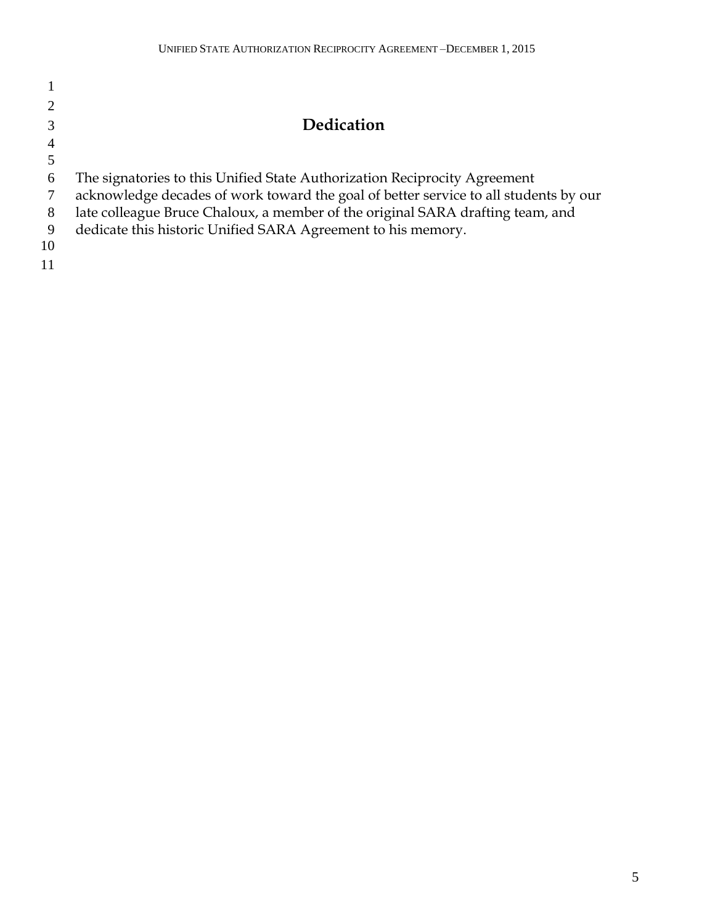|               | <b>Dedication</b>                                                                    |
|---------------|--------------------------------------------------------------------------------------|
|               |                                                                                      |
|               |                                                                                      |
| $\mathfrak b$ | The signatories to this Unified State Authorization Reciprocity Agreement            |
|               | acknowledge decades of work toward the goal of better service to all students by our |
| 8             | late colleague Bruce Chaloux, a member of the original SARA drafting team, and       |
| 9             | dedicate this historic Unified SARA Agreement to his memory.                         |
| 10            |                                                                                      |
|               |                                                                                      |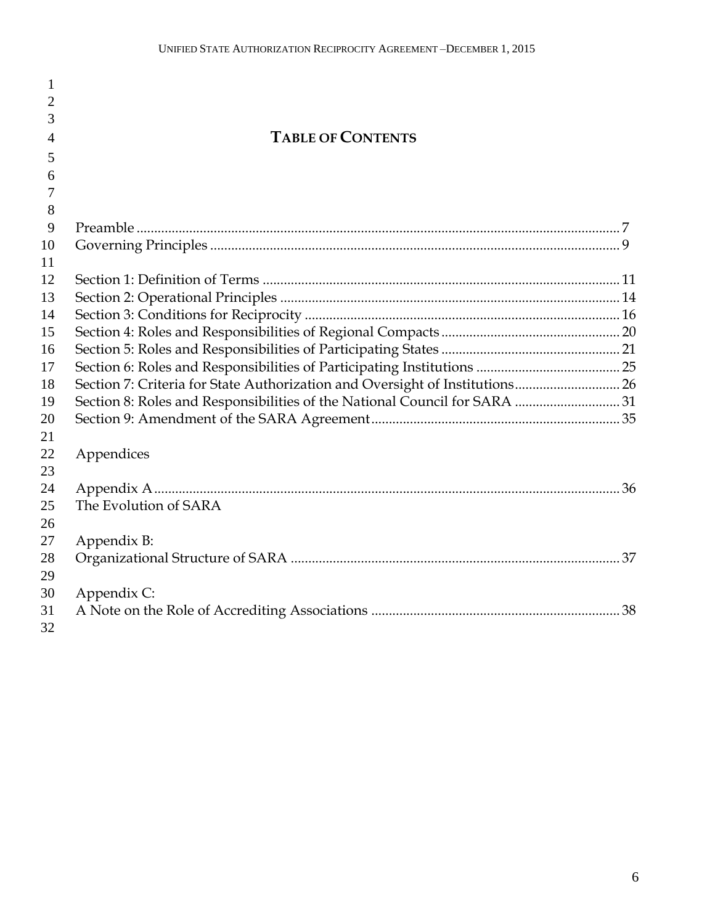| $\mathbf{1}$   |                                                                              |  |
|----------------|------------------------------------------------------------------------------|--|
| $\overline{2}$ |                                                                              |  |
| 3              |                                                                              |  |
| 4              | <b>TABLE OF CONTENTS</b>                                                     |  |
| 5              |                                                                              |  |
| 6              |                                                                              |  |
| 7              |                                                                              |  |
| 8              |                                                                              |  |
| 9              |                                                                              |  |
| 10             |                                                                              |  |
| 11             |                                                                              |  |
| 12             |                                                                              |  |
| 13             |                                                                              |  |
| 14             |                                                                              |  |
| 15             |                                                                              |  |
| 16             |                                                                              |  |
| 17             |                                                                              |  |
| 18             | Section 7: Criteria for State Authorization and Oversight of Institutions 26 |  |
| 19             | Section 8: Roles and Responsibilities of the National Council for SARA  31   |  |
| 20             |                                                                              |  |
| 21             |                                                                              |  |
| 22             | Appendices                                                                   |  |
| 23             |                                                                              |  |
| 24             |                                                                              |  |
| 25             | The Evolution of SARA                                                        |  |
| 26             |                                                                              |  |
| 27             | Appendix B:                                                                  |  |
| 28             |                                                                              |  |
| 29             |                                                                              |  |
| 30             | Appendix C:                                                                  |  |
| 31             |                                                                              |  |
| 32             |                                                                              |  |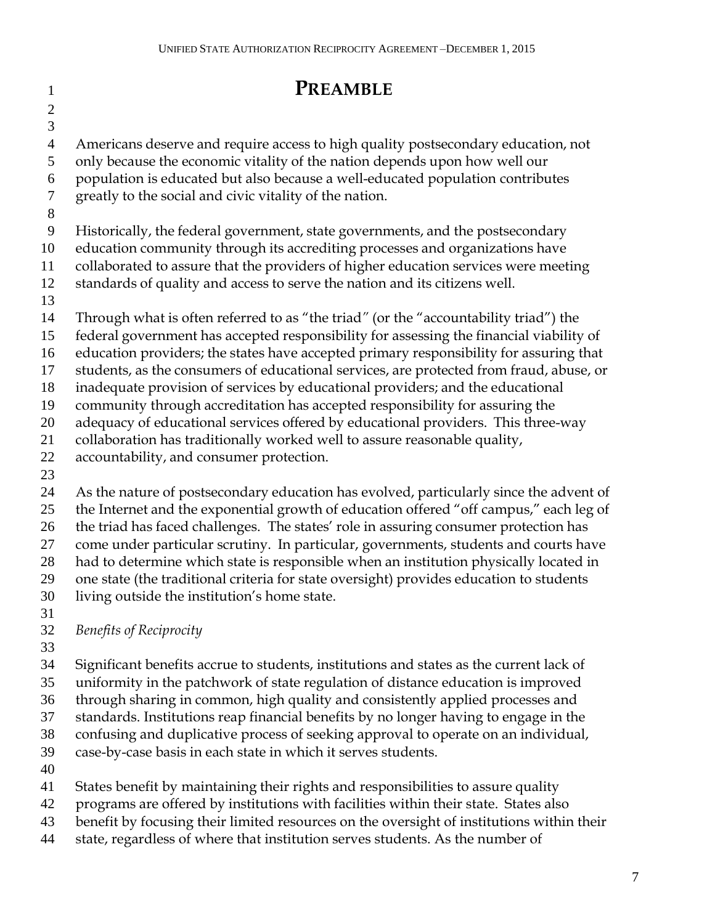| 1              | <b>PREAMBLE</b>                                                                                                                                                   |
|----------------|-------------------------------------------------------------------------------------------------------------------------------------------------------------------|
| $\overline{2}$ |                                                                                                                                                                   |
| $\mathfrak{Z}$ |                                                                                                                                                                   |
| $\overline{4}$ | Americans deserve and require access to high quality postsecondary education, not                                                                                 |
| 5              | only because the economic vitality of the nation depends upon how well our                                                                                        |
| 6              | population is educated but also because a well-educated population contributes                                                                                    |
| 7              | greatly to the social and civic vitality of the nation.                                                                                                           |
| 8              |                                                                                                                                                                   |
| 9              | Historically, the federal government, state governments, and the postsecondary                                                                                    |
| 10             | education community through its accrediting processes and organizations have                                                                                      |
| 11             | collaborated to assure that the providers of higher education services were meeting                                                                               |
| 12             | standards of quality and access to serve the nation and its citizens well.                                                                                        |
| 13             |                                                                                                                                                                   |
| 14             | Through what is often referred to as "the triad" (or the "accountability triad") the                                                                              |
| 15             | federal government has accepted responsibility for assessing the financial viability of                                                                           |
| 16             | education providers; the states have accepted primary responsibility for assuring that                                                                            |
| 17             | students, as the consumers of educational services, are protected from fraud, abuse, or                                                                           |
| 18             | inadequate provision of services by educational providers; and the educational                                                                                    |
| 19             | community through accreditation has accepted responsibility for assuring the<br>adequacy of educational services offered by educational providers. This three-way |
| 20<br>21       | collaboration has traditionally worked well to assure reasonable quality,                                                                                         |
| 22             | accountability, and consumer protection.                                                                                                                          |
| 23             |                                                                                                                                                                   |
| 24             | As the nature of postsecondary education has evolved, particularly since the advent of                                                                            |
| 25             | the Internet and the exponential growth of education offered "off campus," each leg of                                                                            |
| 26             | the triad has faced challenges. The states' role in assuring consumer protection has                                                                              |
| 27             | come under particular scrutiny. In particular, governments, students and courts have                                                                              |
| 28             | had to determine which state is responsible when an institution physically located in                                                                             |
| 29             | one state (the traditional criteria for state oversight) provides education to students                                                                           |
| 30             | living outside the institution's home state.                                                                                                                      |
| 31             |                                                                                                                                                                   |
| 32             | <b>Benefits of Reciprocity</b>                                                                                                                                    |
| 33             |                                                                                                                                                                   |
| 34             | Significant benefits accrue to students, institutions and states as the current lack of                                                                           |

- uniformity in the patchwork of state regulation of distance education is improved through sharing in common, high quality and consistently applied processes and
- standards. Institutions reap financial benefits by no longer having to engage in the
- confusing and duplicative process of seeking approval to operate on an individual,
- case-by-case basis in each state in which it serves students.
- 
- States benefit by maintaining their rights and responsibilities to assure quality
- programs are offered by institutions with facilities within their state. States also
- benefit by focusing their limited resources on the oversight of institutions within their
- state, regardless of where that institution serves students. As the number of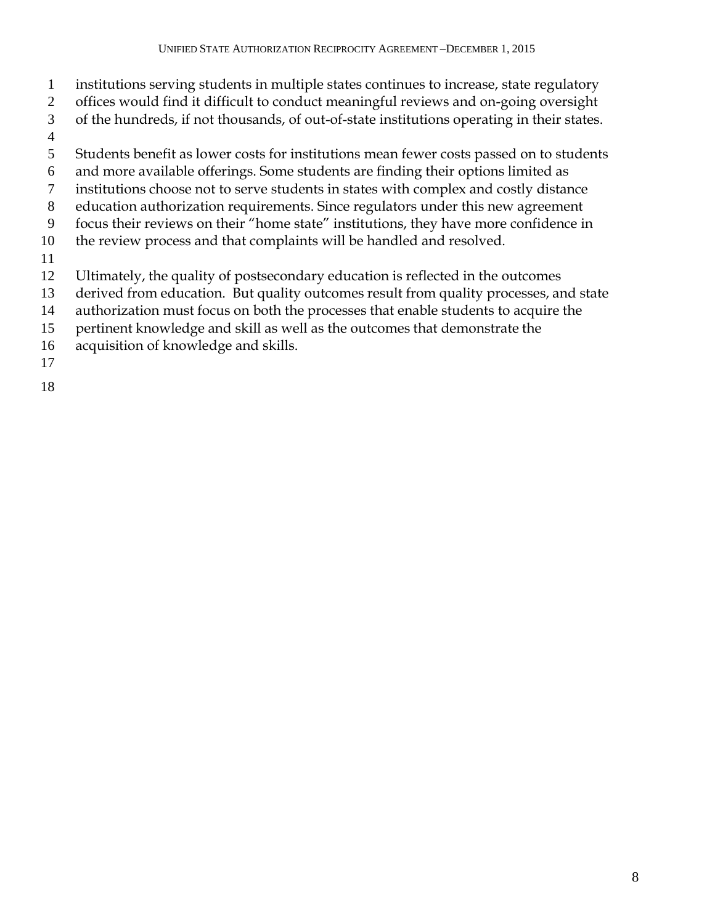- institutions serving students in multiple states continues to increase, state regulatory
- offices would find it difficult to conduct meaningful reviews and on-going oversight
- of the hundreds, if not thousands, of out-of-state institutions operating in their states.
- 
- 
- Students benefit as lower costs for institutions mean fewer costs passed on to students
- and more available offerings. Some students are finding their options limited as
- institutions choose not to serve students in states with complex and costly distance
- education authorization requirements. Since regulators under this new agreement
- focus their reviews on their "home state" institutions, they have more confidence in
- the review process and that complaints will be handled and resolved.
- 
- Ultimately, the quality of postsecondary education is reflected in the outcomes
- derived from education. But quality outcomes result from quality processes, and state
- authorization must focus on both the processes that enable students to acquire the
- pertinent knowledge and skill as well as the outcomes that demonstrate the
- acquisition of knowledge and skills.
-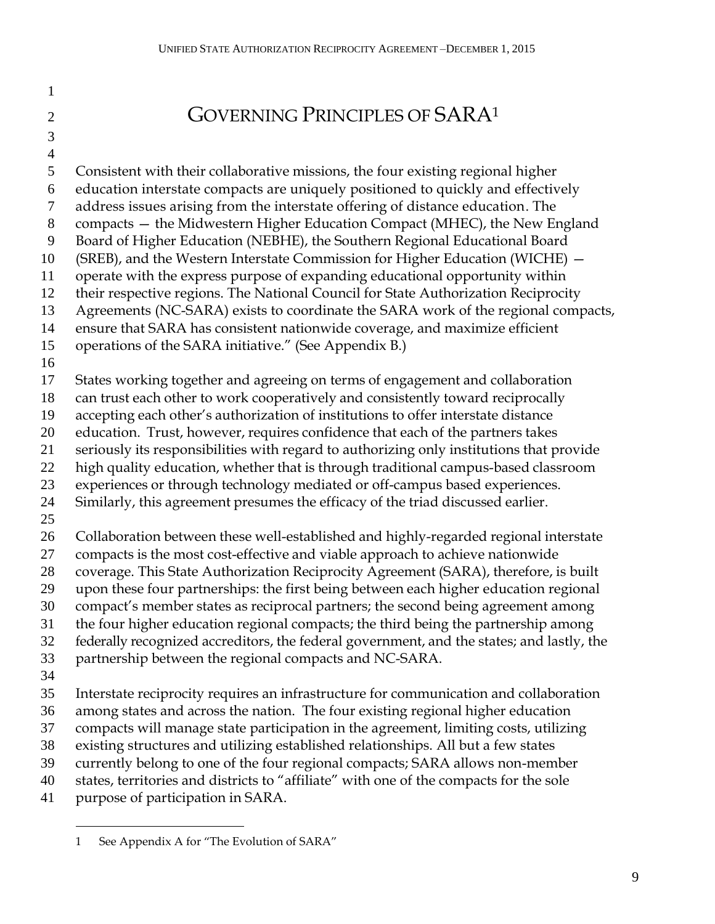GOVERNING PRINCIPLES OF SARA<sup>1</sup>

### 

#### Consistent with their collaborative missions, the four existing regional higher education interstate compacts are uniquely positioned to quickly and effectively address issues arising from the interstate offering of distance education. The compacts — the Midwestern Higher Education Compact (MHEC), the New England Board of Higher Education (NEBHE), the Southern Regional Educational Board (SREB), and the Western Interstate Commission for Higher Education (WICHE) — operate with the express purpose of expanding educational opportunity within their respective regions. The National Council for State Authorization Reciprocity Agreements (NC-SARA) exists to coordinate the SARA work of the regional compacts, ensure that SARA has consistent nationwide coverage, and maximize efficient operations of the SARA initiative." (See Appendix B.) States working together and agreeing on terms of engagement and collaboration can trust each other to work cooperatively and consistently toward reciprocally accepting each other's authorization of institutions to offer interstate distance education. Trust, however, requires confidence that each of the partners takes seriously its responsibilities with regard to authorizing only institutions that provide high quality education, whether that is through traditional campus-based classroom experiences or through technology mediated or off-campus based experiences. Similarly, this agreement presumes the efficacy of the triad discussed earlier. Collaboration between these well-established and highly-regarded regional interstate compacts is the most cost-effective and viable approach to achieve nationwide coverage. This State Authorization Reciprocity Agreement (SARA), therefore, is built upon these four partnerships: the first being between each higher education regional compact's member states as reciprocal partners; the second being agreement among the four higher education regional compacts; the third being the partnership among federally recognized accreditors, the federal government, and the states; and lastly, the partnership between the regional compacts and NC-SARA. Interstate reciprocity requires an infrastructure for communication and collaboration among states and across the nation. The four existing regional higher education compacts will manage state participation in the agreement, limiting costs, utilizing existing structures and utilizing established relationships. All but a few states currently belong to one of the four regional compacts; SARA allows non-member states, territories and districts to "affiliate" with one of the compacts for the sole purpose of participation in SARA.  $\overline{a}$

See Appendix A for "The Evolution of SARA"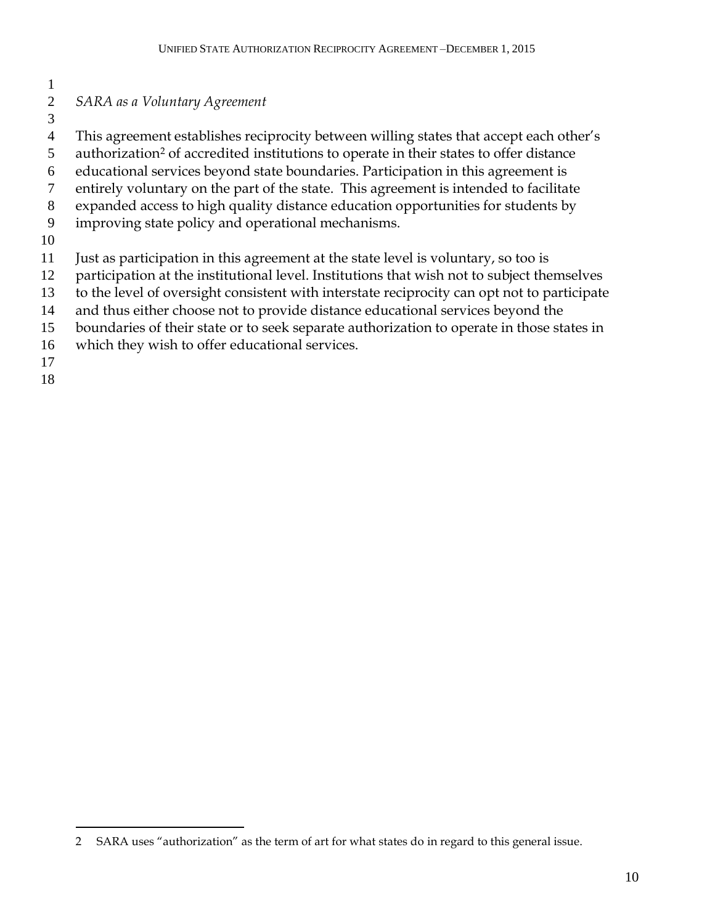#### *SARA as a Voluntary Agreement*

This agreement establishes reciprocity between willing states that accept each other's

5 authorization<sup>2</sup> of accredited institutions to operate in their states to offer distance

educational services beyond state boundaries. Participation in this agreement is

- entirely voluntary on the part of the state. This agreement is intended to facilitate
- expanded access to high quality distance education opportunities for students by
- improving state policy and operational mechanisms.
- 
- Just as participation in this agreement at the state level is voluntary, so too is
- participation at the institutional level. Institutions that wish not to subject themselves
- to the level of oversight consistent with interstate reciprocity can opt not to participate
- and thus either choose not to provide distance educational services beyond the
- boundaries of their state or to seek separate authorization to operate in those states in
- which they wish to offer educational services.
- 

 $\overline{a}$ 

SARA uses "authorization" as the term of art for what states do in regard to this general issue.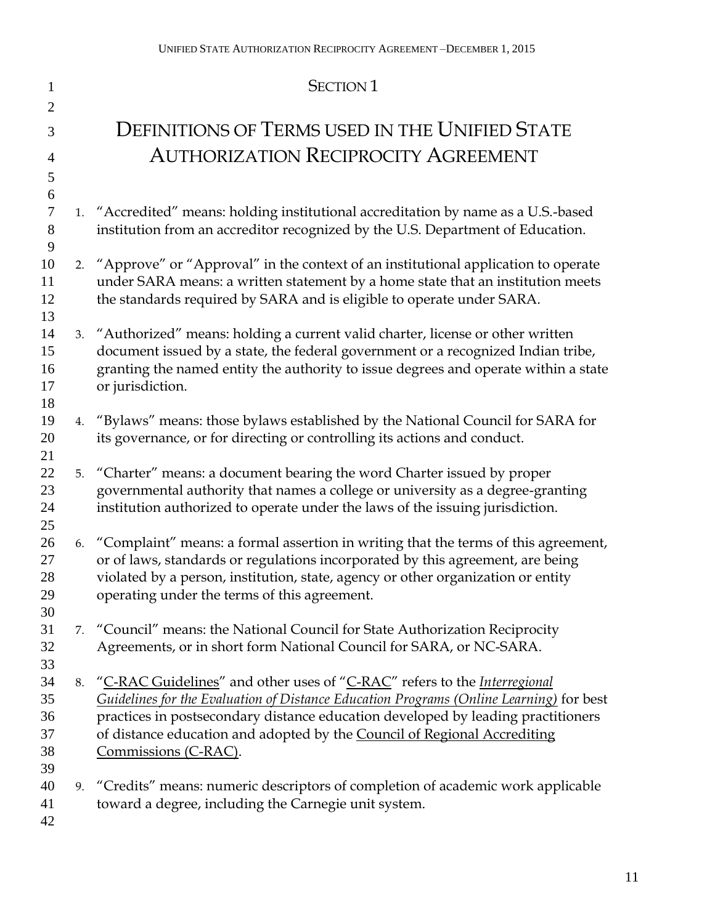| 1              |    | <b>SECTION 1</b>                                                                                                                                                           |
|----------------|----|----------------------------------------------------------------------------------------------------------------------------------------------------------------------------|
| $\overline{2}$ |    |                                                                                                                                                                            |
| 3              |    | DEFINITIONS OF TERMS USED IN THE UNIFIED STATE                                                                                                                             |
| 4              |    | <b>AUTHORIZATION RECIPROCITY AGREEMENT</b>                                                                                                                                 |
| 5              |    |                                                                                                                                                                            |
| 6              |    |                                                                                                                                                                            |
| $\tau$<br>8    |    | 1. "Accredited" means: holding institutional accreditation by name as a U.S.-based<br>institution from an accreditor recognized by the U.S. Department of Education.       |
| 9              |    |                                                                                                                                                                            |
| 10             |    | 2. "Approve" or "Approval" in the context of an institutional application to operate                                                                                       |
| 11             |    | under SARA means: a written statement by a home state that an institution meets                                                                                            |
| 12             |    | the standards required by SARA and is eligible to operate under SARA.                                                                                                      |
| 13             |    |                                                                                                                                                                            |
| 14             |    | 3. "Authorized" means: holding a current valid charter, license or other written                                                                                           |
| 15<br>16       |    | document issued by a state, the federal government or a recognized Indian tribe,<br>granting the named entity the authority to issue degrees and operate within a state    |
| 17             |    | or jurisdiction.                                                                                                                                                           |
| 18             |    |                                                                                                                                                                            |
| 19             |    | 4. "Bylaws" means: those bylaws established by the National Council for SARA for                                                                                           |
| 20             |    | its governance, or for directing or controlling its actions and conduct.                                                                                                   |
| 21             |    |                                                                                                                                                                            |
| 22             |    | 5. "Charter" means: a document bearing the word Charter issued by proper                                                                                                   |
| 23             |    | governmental authority that names a college or university as a degree-granting                                                                                             |
| 24<br>25       |    | institution authorized to operate under the laws of the issuing jurisdiction.                                                                                              |
| 26             |    | 6. "Complaint" means: a formal assertion in writing that the terms of this agreement,                                                                                      |
| 27             |    | or of laws, standards or regulations incorporated by this agreement, are being                                                                                             |
| 28             |    | violated by a person, institution, state, agency or other organization or entity                                                                                           |
| 29             |    | operating under the terms of this agreement.                                                                                                                               |
| 30             |    |                                                                                                                                                                            |
| 31             | 7. | "Council" means: the National Council for State Authorization Reciprocity                                                                                                  |
| 32             |    | Agreements, or in short form National Council for SARA, or NC-SARA.                                                                                                        |
| 33<br>34       |    |                                                                                                                                                                            |
| 35             | 8. | "C-RAC Guidelines" and other uses of "C-RAC" refers to the <i>Interregional</i><br>Guidelines for the Evaluation of Distance Education Programs (Online Learning) for best |
| 36             |    | practices in postsecondary distance education developed by leading practitioners                                                                                           |
| 37             |    | of distance education and adopted by the Council of Regional Accrediting                                                                                                   |
| 38             |    | Commissions (C-RAC).                                                                                                                                                       |
| 39             |    |                                                                                                                                                                            |
| 40             | 9. | "Credits" means: numeric descriptors of completion of academic work applicable                                                                                             |
| 41             |    | toward a degree, including the Carnegie unit system.                                                                                                                       |
| 42             |    |                                                                                                                                                                            |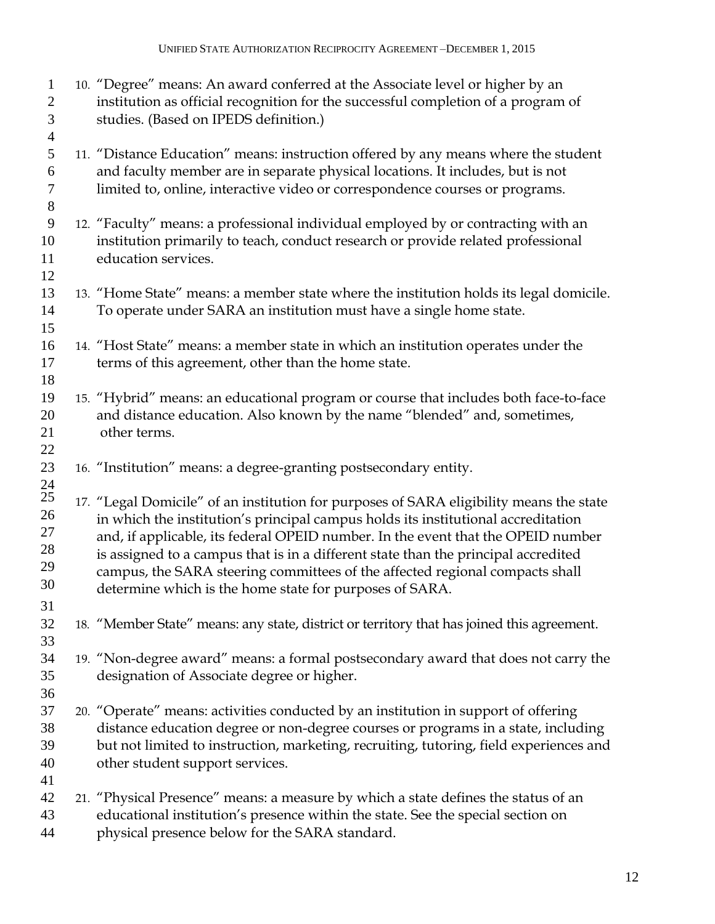| $\mathbf{1}$<br>$\mathbf{2}$<br>3<br>$\overline{4}$ | 10. "Degree" means: An award conferred at the Associate level or higher by an<br>institution as official recognition for the successful completion of a program of<br>studies. (Based on IPEDS definition.)                                                                                                                                                                                                                                                                                       |
|-----------------------------------------------------|---------------------------------------------------------------------------------------------------------------------------------------------------------------------------------------------------------------------------------------------------------------------------------------------------------------------------------------------------------------------------------------------------------------------------------------------------------------------------------------------------|
| 5<br>6<br>$\tau$<br>$8\,$                           | 11. "Distance Education" means: instruction offered by any means where the student<br>and faculty member are in separate physical locations. It includes, but is not<br>limited to, online, interactive video or correspondence courses or programs.                                                                                                                                                                                                                                              |
| 9<br>10<br>11<br>12                                 | 12. "Faculty" means: a professional individual employed by or contracting with an<br>institution primarily to teach, conduct research or provide related professional<br>education services.                                                                                                                                                                                                                                                                                                      |
| 13<br>14<br>15                                      | 13. "Home State" means: a member state where the institution holds its legal domicile.<br>To operate under SARA an institution must have a single home state.                                                                                                                                                                                                                                                                                                                                     |
| 16<br>17<br>18                                      | 14. "Host State" means: a member state in which an institution operates under the<br>terms of this agreement, other than the home state.                                                                                                                                                                                                                                                                                                                                                          |
| 19<br>20<br>21<br>22                                | 15. "Hybrid" means: an educational program or course that includes both face-to-face<br>and distance education. Also known by the name "blended" and, sometimes,<br>other terms.                                                                                                                                                                                                                                                                                                                  |
| 23<br>24                                            | 16. "Institution" means: a degree-granting postsecondary entity.                                                                                                                                                                                                                                                                                                                                                                                                                                  |
| $25\,$<br>26<br>27<br>28<br>29<br>30                | 17. "Legal Domicile" of an institution for purposes of SARA eligibility means the state<br>in which the institution's principal campus holds its institutional accreditation<br>and, if applicable, its federal OPEID number. In the event that the OPEID number<br>is assigned to a campus that is in a different state than the principal accredited<br>campus, the SARA steering committees of the affected regional compacts shall<br>determine which is the home state for purposes of SARA. |
| 31<br>32<br>33                                      | 18. "Member State" means: any state, district or territory that has joined this agreement.                                                                                                                                                                                                                                                                                                                                                                                                        |
| 34<br>35<br>36                                      | 19. "Non-degree award" means: a formal postsecondary award that does not carry the<br>designation of Associate degree or higher.                                                                                                                                                                                                                                                                                                                                                                  |
| 37<br>38<br>39<br>40                                | 20. "Operate" means: activities conducted by an institution in support of offering<br>distance education degree or non-degree courses or programs in a state, including<br>but not limited to instruction, marketing, recruiting, tutoring, field experiences and<br>other student support services.                                                                                                                                                                                              |
| 41<br>42<br>43<br>44                                | 21. "Physical Presence" means: a measure by which a state defines the status of an<br>educational institution's presence within the state. See the special section on<br>physical presence below for the SARA standard.                                                                                                                                                                                                                                                                           |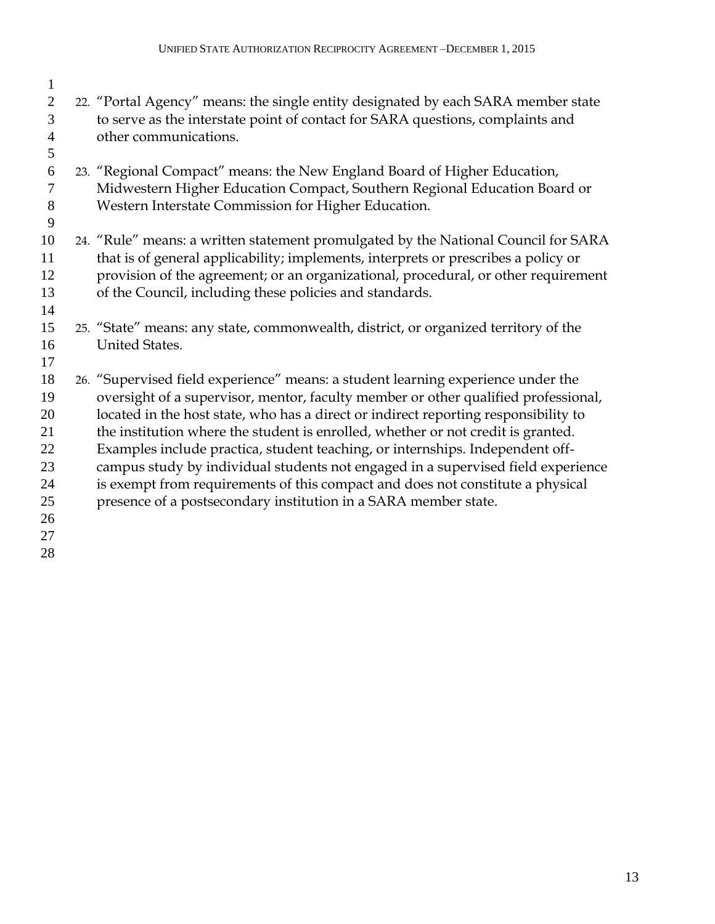| 1              |                                                                                     |
|----------------|-------------------------------------------------------------------------------------|
| $\overline{2}$ | 22. "Portal Agency" means: the single entity designated by each SARA member state   |
| 3              | to serve as the interstate point of contact for SARA questions, complaints and      |
| $\overline{4}$ | other communications.                                                               |
| 5              |                                                                                     |
| 6              | 23. "Regional Compact" means: the New England Board of Higher Education,            |
| $\tau$         | Midwestern Higher Education Compact, Southern Regional Education Board or           |
| 8              | Western Interstate Commission for Higher Education.                                 |
| 9              |                                                                                     |
| 10             | 24. "Rule" means: a written statement promulgated by the National Council for SARA  |
| 11             | that is of general applicability; implements, interprets or prescribes a policy or  |
| 12             | provision of the agreement; or an organizational, procedural, or other requirement  |
| 13             | of the Council, including these policies and standards.                             |
| 14             |                                                                                     |
| 15             | 25. "State" means: any state, commonwealth, district, or organized territory of the |
| 16             | <b>United States.</b>                                                               |
| 17             |                                                                                     |
| 18             | 26. "Supervised field experience" means: a student learning experience under the    |
| 19             | oversight of a supervisor, mentor, faculty member or other qualified professional,  |
| 20             | located in the host state, who has a direct or indirect reporting responsibility to |
| 21             | the institution where the student is enrolled, whether or not credit is granted.    |
| 22             | Examples include practica, student teaching, or internships. Independent off-       |
| 23             | campus study by individual students not engaged in a supervised field experience    |
| 24             | is exempt from requirements of this compact and does not constitute a physical      |
| 25             | presence of a postsecondary institution in a SARA member state.                     |
| 26             |                                                                                     |
| 27             |                                                                                     |
| 28             |                                                                                     |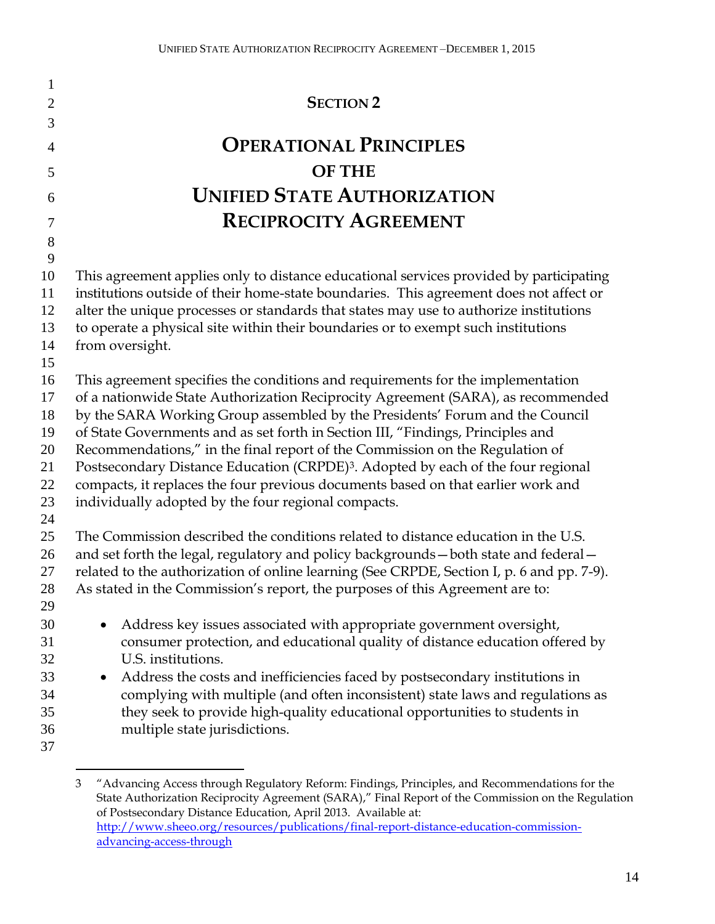| 1              |                                                                                                                                                                                  |
|----------------|----------------------------------------------------------------------------------------------------------------------------------------------------------------------------------|
| $\overline{2}$ | <b>SECTION 2</b>                                                                                                                                                                 |
| 3              |                                                                                                                                                                                  |
| $\overline{4}$ | <b>OPERATIONAL PRINCIPLES</b>                                                                                                                                                    |
| 5              | <b>OF THE</b>                                                                                                                                                                    |
| 6              | <b>UNIFIED STATE AUTHORIZATION</b>                                                                                                                                               |
| 7              | <b>RECIPROCITY AGREEMENT</b>                                                                                                                                                     |
| $8\,$          |                                                                                                                                                                                  |
| 9              |                                                                                                                                                                                  |
| 10<br>11       | This agreement applies only to distance educational services provided by participating<br>institutions outside of their home-state boundaries. This agreement does not affect or |
| 12             | alter the unique processes or standards that states may use to authorize institutions                                                                                            |
| 13             | to operate a physical site within their boundaries or to exempt such institutions                                                                                                |
| 14             | from oversight.                                                                                                                                                                  |
| 15             |                                                                                                                                                                                  |
| 16             | This agreement specifies the conditions and requirements for the implementation                                                                                                  |
| 17             | of a nationwide State Authorization Reciprocity Agreement (SARA), as recommended                                                                                                 |
| 18             | by the SARA Working Group assembled by the Presidents' Forum and the Council                                                                                                     |
| 19             | of State Governments and as set forth in Section III, "Findings, Principles and                                                                                                  |
| 20<br>21       | Recommendations," in the final report of the Commission on the Regulation of                                                                                                     |
| 22             | Postsecondary Distance Education (CRPDE) <sup>3</sup> . Adopted by each of the four regional<br>compacts, it replaces the four previous documents based on that earlier work and |
| 23             | individually adopted by the four regional compacts.                                                                                                                              |
| 24             |                                                                                                                                                                                  |
| 25             | The Commission described the conditions related to distance education in the U.S.                                                                                                |
| 26             | and set forth the legal, regulatory and policy backgrounds - both state and federal -                                                                                            |
| 27             | related to the authorization of online learning (See CRPDE, Section I, p. 6 and pp. 7-9).                                                                                        |
| 28             | As stated in the Commission's report, the purposes of this Agreement are to:                                                                                                     |
| 29             |                                                                                                                                                                                  |
| 30             | Address key issues associated with appropriate government oversight,                                                                                                             |
| 31             | consumer protection, and educational quality of distance education offered by                                                                                                    |
| 32             | U.S. institutions.                                                                                                                                                               |
| 33             | Address the costs and inefficiencies faced by postsecondary institutions in<br>$\bullet$                                                                                         |
| 34             | complying with multiple (and often inconsistent) state laws and regulations as                                                                                                   |
| 35             | they seek to provide high-quality educational opportunities to students in                                                                                                       |
| 36             | multiple state jurisdictions.                                                                                                                                                    |
| 37             |                                                                                                                                                                                  |

 $\overline{a}$ 

 "Advancing Access through Regulatory Reform: Findings, Principles, and Recommendations for the State Authorization Reciprocity Agreement (SARA)," Final Report of the Commission on the Regulation of Postsecondary Distance Education, April 2013. Available at: [http://www.sheeo.org/resources/publications/final-report-distance-education-commission](http://www.sheeo.org/resources/publications/final-report-distance-education-commission-advancing-access-through)[advancing-access-through](http://www.sheeo.org/resources/publications/final-report-distance-education-commission-advancing-access-through)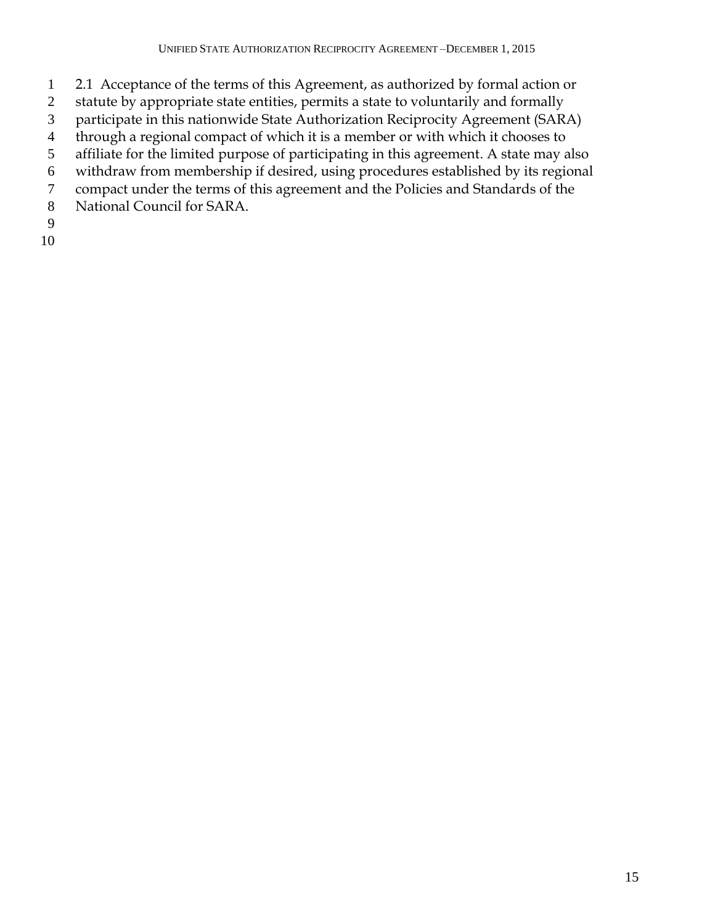- 2.1 Acceptance of the terms of this Agreement, as authorized by formal action or
- statute by appropriate state entities, permits a state to voluntarily and formally
- participate in this nationwide State Authorization Reciprocity Agreement (SARA)
- through a regional compact of which it is a member or with which it chooses to
- affiliate for the limited purpose of participating in this agreement. A state may also
- withdraw from membership if desired, using procedures established by its regional
- compact under the terms of this agreement and the Policies and Standards of the
- National Council for SARA.
- 
-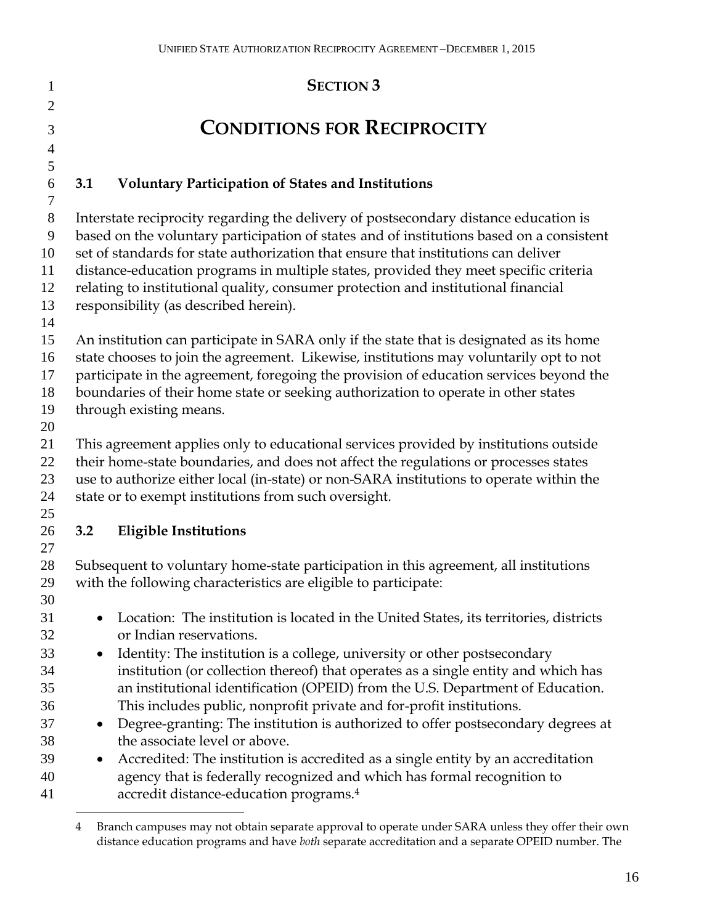| 1              | <b>SECTION 3</b>                                                                                                                                         |
|----------------|----------------------------------------------------------------------------------------------------------------------------------------------------------|
| $\overline{2}$ |                                                                                                                                                          |
| 3              | <b>CONDITIONS FOR RECIPROCITY</b>                                                                                                                        |
| $\overline{4}$ |                                                                                                                                                          |
| 5<br>6         | 3.1<br><b>Voluntary Participation of States and Institutions</b>                                                                                         |
| 7              |                                                                                                                                                          |
| $8\,$          | Interstate reciprocity regarding the delivery of postsecondary distance education is                                                                     |
| 9              | based on the voluntary participation of states and of institutions based on a consistent                                                                 |
| 10             | set of standards for state authorization that ensure that institutions can deliver                                                                       |
| 11             | distance-education programs in multiple states, provided they meet specific criteria                                                                     |
| 12<br>13       | relating to institutional quality, consumer protection and institutional financial                                                                       |
| 14             | responsibility (as described herein).                                                                                                                    |
| 15             | An institution can participate in SARA only if the state that is designated as its home                                                                  |
| 16             | state chooses to join the agreement. Likewise, institutions may voluntarily opt to not                                                                   |
| 17             | participate in the agreement, foregoing the provision of education services beyond the                                                                   |
| 18             | boundaries of their home state or seeking authorization to operate in other states                                                                       |
| 19             | through existing means.                                                                                                                                  |
| 20<br>21       | This agreement applies only to educational services provided by institutions outside                                                                     |
| 22             | their home-state boundaries, and does not affect the regulations or processes states                                                                     |
| 23             | use to authorize either local (in-state) or non-SARA institutions to operate within the                                                                  |
| 24             | state or to exempt institutions from such oversight.                                                                                                     |
| 25             |                                                                                                                                                          |
| 26             | <b>Eligible Institutions</b><br>3.2                                                                                                                      |
| 27             |                                                                                                                                                          |
| 28<br>29       | Subsequent to voluntary home-state participation in this agreement, all institutions<br>with the following characteristics are eligible to participate:  |
| 30             |                                                                                                                                                          |
| 31             | Location: The institution is located in the United States, its territories, districts                                                                    |
| 32             | or Indian reservations.                                                                                                                                  |
| 33             | Identity: The institution is a college, university or other postsecondary<br>$\bullet$                                                                   |
| 34             | institution (or collection thereof) that operates as a single entity and which has                                                                       |
| 35             | an institutional identification (OPEID) from the U.S. Department of Education.                                                                           |
| 36<br>37       | This includes public, nonprofit private and for-profit institutions.<br>Degree-granting: The institution is authorized to offer postsecondary degrees at |
| 38             | the associate level or above.                                                                                                                            |
| 39             | Accredited: The institution is accredited as a single entity by an accreditation                                                                         |
| 40<br>41       | agency that is federally recognized and which has formal recognition to<br>accredit distance-education programs. <sup>4</sup>                            |
|                |                                                                                                                                                          |

 Branch campuses may not obtain separate approval to operate under SARA unless they offer their own distance education programs and have *both* separate accreditation and a separate OPEID number. The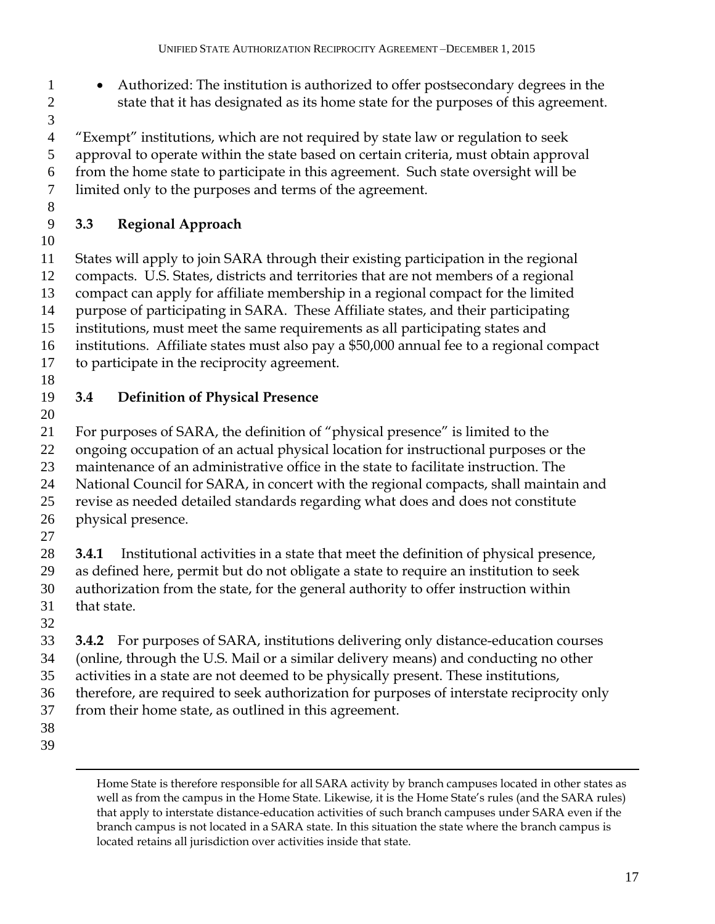- Authorized: The institution is authorized to offer postsecondary degrees in the state that it has designated as its home state for the purposes of this agreement.
- 

 "Exempt" institutions, which are not required by state law or regulation to seek approval to operate within the state based on certain criteria, must obtain approval from the home state to participate in this agreement. Such state oversight will be

limited only to the purposes and terms of the agreement.

## **3.3 Regional Approach**

 States will apply to join SARA through their existing participation in the regional compacts. U.S. States, districts and territories that are not members of a regional compact can apply for affiliate membership in a regional compact for the limited purpose of participating in SARA. These Affiliate states, and their participating institutions, must meet the same requirements as all participating states and

institutions. Affiliate states must also pay a \$50,000 annual fee to a regional compact

- to participate in the reciprocity agreement.
- 

# **3.4 Definition of Physical Presence**

 For purposes of SARA, the definition of "physical presence" is limited to the ongoing occupation of an actual physical location for instructional purposes or the

maintenance of an administrative office in the state to facilitate instruction. The

- National Council for SARA, in concert with the regional compacts, shall maintain and
- revise as needed detailed standards regarding what does and does not constitute physical presence.
- 

**3.4.1** Institutional activities in a state that meet the definition of physical presence,

as defined here, permit but do not obligate a state to require an institution to seek

authorization from the state, for the general authority to offer instruction within

- that state.
- 

**3.4.2** For purposes of SARA, institutions delivering only distance-education courses

(online, through the U.S. Mail or a similar delivery means) and conducting no other

activities in a state are not deemed to be physically present. These institutions,

therefore, are required to seek authorization for purposes of interstate reciprocity only

from their home state, as outlined in this agreement.

- 
- 

Home State is therefore responsible for all SARA activity by branch campuses located in other states as well as from the campus in the Home State. Likewise, it is the Home State's rules (and the SARA rules) that apply to interstate distance-education activities of such branch campuses under SARA even if the branch campus is not located in a SARA state. In this situation the state where the branch campus is located retains all jurisdiction over activities inside that state.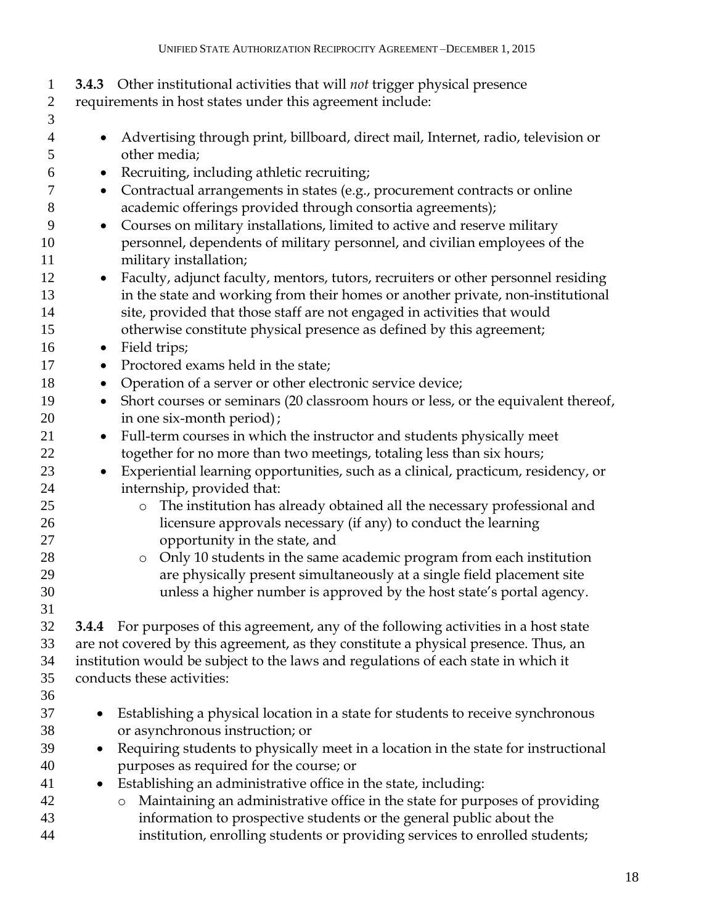| $\mathbf{1}$<br>$\overline{2}$ | 3.4.3 Other institutional activities that will not trigger physical presence<br>requirements in host states under this agreement include: |
|--------------------------------|-------------------------------------------------------------------------------------------------------------------------------------------|
| 3<br>$\overline{4}$            | Advertising through print, billboard, direct mail, Internet, radio, television or<br>$\bullet$<br>other media;                            |
| 5                              |                                                                                                                                           |
| 6                              | Recruiting, including athletic recruiting;<br>$\bullet$                                                                                   |
| 7                              | Contractual arrangements in states (e.g., procurement contracts or online<br>$\bullet$                                                    |
| 8                              | academic offerings provided through consortia agreements);                                                                                |
| 9                              | Courses on military installations, limited to active and reserve military<br>$\bullet$                                                    |
| 10<br>11                       | personnel, dependents of military personnel, and civilian employees of the<br>military installation;                                      |
| 12                             | Faculty, adjunct faculty, mentors, tutors, recruiters or other personnel residing<br>$\bullet$                                            |
| 13                             | in the state and working from their homes or another private, non-institutional                                                           |
| 14                             | site, provided that those staff are not engaged in activities that would                                                                  |
| 15                             | otherwise constitute physical presence as defined by this agreement;                                                                      |
| 16                             | Field trips;<br>$\bullet$                                                                                                                 |
| 17                             | Proctored exams held in the state;<br>٠                                                                                                   |
| 18                             | Operation of a server or other electronic service device;<br>$\bullet$                                                                    |
| 19                             | Short courses or seminars (20 classroom hours or less, or the equivalent thereof,<br>$\bullet$                                            |
| 20                             | in one six-month period);                                                                                                                 |
| 21                             | Full-term courses in which the instructor and students physically meet<br>$\bullet$                                                       |
| 22                             | together for no more than two meetings, totaling less than six hours;                                                                     |
| 23<br>24                       | Experiential learning opportunities, such as a clinical, practicum, residency, or<br>$\bullet$<br>internship, provided that:              |
| 25                             | The institution has already obtained all the necessary professional and<br>$\circ$                                                        |
| 26                             | licensure approvals necessary (if any) to conduct the learning                                                                            |
| 27                             | opportunity in the state, and                                                                                                             |
| 28                             | Only 10 students in the same academic program from each institution<br>$\circ$                                                            |
| 29                             | are physically present simultaneously at a single field placement site                                                                    |
| 30                             | unless a higher number is approved by the host state's portal agency.                                                                     |
| 31                             |                                                                                                                                           |
| 32                             | <b>3.4.4</b> For purposes of this agreement, any of the following activities in a host state                                              |
| 33                             | are not covered by this agreement, as they constitute a physical presence. Thus, an                                                       |
| 34                             | institution would be subject to the laws and regulations of each state in which it                                                        |
| 35                             | conducts these activities:                                                                                                                |
| 36                             |                                                                                                                                           |
| 37                             | Establishing a physical location in a state for students to receive synchronous                                                           |
| 38                             | or asynchronous instruction; or                                                                                                           |
| 39                             | Requiring students to physically meet in a location in the state for instructional                                                        |
| 40                             | purposes as required for the course; or                                                                                                   |
| 41                             | Establishing an administrative office in the state, including:                                                                            |
| 42                             | Maintaining an administrative office in the state for purposes of providing<br>$\circ$                                                    |
| 43<br>44                       | information to prospective students or the general public about the                                                                       |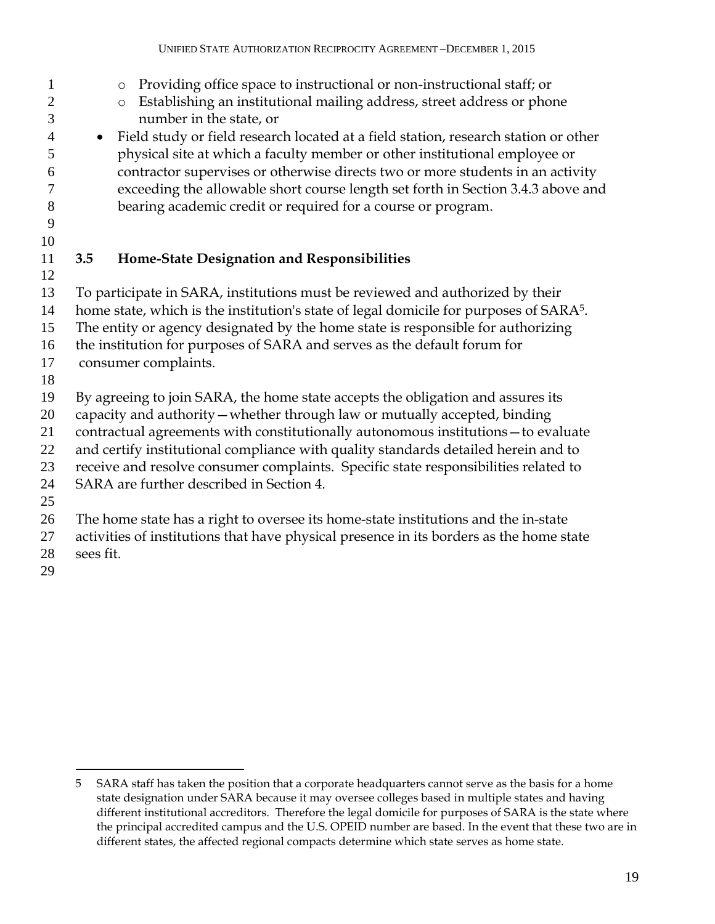- o Providing office space to instructional or non-instructional staff; or **b** Establishing an institutional mailing address, street address or phone number in the state, or • Field study or field research located at a field station, research station or other physical site at which a faculty member or other institutional employee or contractor supervises or otherwise directs two or more students in an activity exceeding the allowable short course length set forth in Section 3.4.3 above and bearing academic credit or required for a course or program. **3.5 Home-State Designation and Responsibilities** To participate in SARA, institutions must be reviewed and authorized by their 14 home state, which is the institution's state of legal domicile for purposes of SARA<sup>5</sup>. The entity or agency designated by the home state is responsible for authorizing the institution for purposes of SARA and serves as the default forum for consumer complaints. By agreeing to join SARA, the home state accepts the obligation and assures its capacity and authority—whether through law or mutually accepted, binding contractual agreements with constitutionally autonomous institutions—to evaluate and certify institutional compliance with quality standards detailed herein and to receive and resolve consumer complaints. Specific state responsibilities related to SARA are further described in Section 4. The home state has a right to oversee its home-state institutions and the in-state activities of institutions that have physical presence in its borders as the home state sees fit.
- 

 $\overline{a}$  SARA staff has taken the position that a corporate headquarters cannot serve as the basis for a home state designation under SARA because it may oversee colleges based in multiple states and having different institutional accreditors. Therefore the legal domicile for purposes of SARA is the state where the principal accredited campus and the U.S. OPEID number are based. In the event that these two are in different states, the affected regional compacts determine which state serves as home state.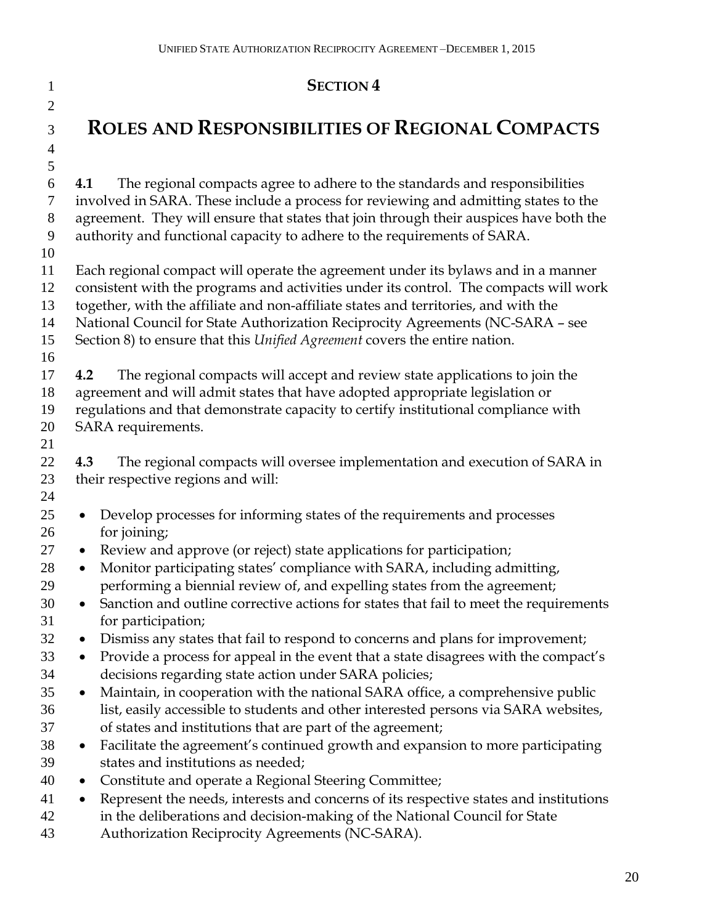| $\mathbf{1}$        | <b>SECTION 4</b>                                                                                                                                                                                                                    |
|---------------------|-------------------------------------------------------------------------------------------------------------------------------------------------------------------------------------------------------------------------------------|
| $\overline{2}$<br>3 | <b>ROLES AND RESPONSIBILITIES OF REGIONAL COMPACTS</b>                                                                                                                                                                              |
| $\overline{4}$      |                                                                                                                                                                                                                                     |
| 5                   |                                                                                                                                                                                                                                     |
| 6<br>7              | The regional compacts agree to adhere to the standards and responsibilities<br>4.1<br>involved in SARA. These include a process for reviewing and admitting states to the                                                           |
| 8<br>9              | agreement. They will ensure that states that join through their auspices have both the<br>authority and functional capacity to adhere to the requirements of SARA.                                                                  |
| 10                  |                                                                                                                                                                                                                                     |
| 11                  | Each regional compact will operate the agreement under its bylaws and in a manner                                                                                                                                                   |
| 12                  | consistent with the programs and activities under its control. The compacts will work                                                                                                                                               |
| 13                  | together, with the affiliate and non-affiliate states and territories, and with the                                                                                                                                                 |
| 14                  | National Council for State Authorization Reciprocity Agreements (NC-SARA - see                                                                                                                                                      |
| 15                  | Section 8) to ensure that this Unified Agreement covers the entire nation.                                                                                                                                                          |
| 16                  |                                                                                                                                                                                                                                     |
| 17                  | The regional compacts will accept and review state applications to join the<br>4.2                                                                                                                                                  |
| 18                  | agreement and will admit states that have adopted appropriate legislation or                                                                                                                                                        |
| 19                  | regulations and that demonstrate capacity to certify institutional compliance with                                                                                                                                                  |
| 20<br>21            | SARA requirements.                                                                                                                                                                                                                  |
| 22                  | The regional compacts will oversee implementation and execution of SARA in<br>4.3                                                                                                                                                   |
| 23                  | their respective regions and will:                                                                                                                                                                                                  |
| 24                  |                                                                                                                                                                                                                                     |
| 25<br>26            | Develop processes for informing states of the requirements and processes<br>$\bullet$<br>for joining;                                                                                                                               |
| 27                  | Review and approve (or reject) state applications for participation;<br>$\bullet$                                                                                                                                                   |
| 28                  | Monitor participating states' compliance with SARA, including admitting,<br>$\bullet$                                                                                                                                               |
| 29                  | performing a biennial review of, and expelling states from the agreement;                                                                                                                                                           |
| 30<br>31            | Sanction and outline corrective actions for states that fail to meet the requirements<br>for participation;                                                                                                                         |
| 32                  | Dismiss any states that fail to respond to concerns and plans for improvement;<br>$\bullet$                                                                                                                                         |
| 33                  | Provide a process for appeal in the event that a state disagrees with the compact's<br>$\bullet$                                                                                                                                    |
| 34                  | decisions regarding state action under SARA policies;                                                                                                                                                                               |
| 35                  | Maintain, in cooperation with the national SARA office, a comprehensive public<br>$\bullet$                                                                                                                                         |
| 36                  | list, easily accessible to students and other interested persons via SARA websites,                                                                                                                                                 |
| 37                  | of states and institutions that are part of the agreement;                                                                                                                                                                          |
| 38                  | Facilitate the agreement's continued growth and expansion to more participating<br>$\bullet$                                                                                                                                        |
| 39                  | states and institutions as needed;                                                                                                                                                                                                  |
| 40                  | Constitute and operate a Regional Steering Committee;<br>$\bullet$                                                                                                                                                                  |
| 41<br>42<br>43      | Represent the needs, interests and concerns of its respective states and institutions<br>$\bullet$<br>in the deliberations and decision-making of the National Council for State<br>Authorization Reciprocity Agreements (NC-SARA). |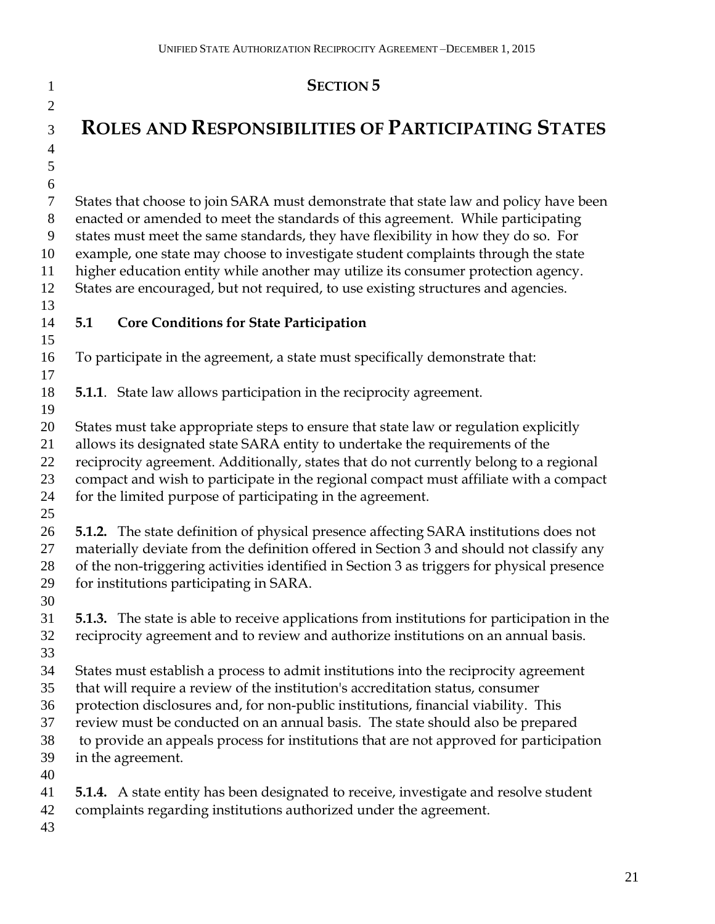| $\mathbf{1}$        | <b>SECTION 5</b>                                                                                                                                                  |
|---------------------|-------------------------------------------------------------------------------------------------------------------------------------------------------------------|
| $\overline{2}$      |                                                                                                                                                                   |
| 3                   | <b>ROLES AND RESPONSIBILITIES OF PARTICIPATING STATES</b>                                                                                                         |
| $\overline{4}$<br>5 |                                                                                                                                                                   |
| 6                   |                                                                                                                                                                   |
| $\tau$              | States that choose to join SARA must demonstrate that state law and policy have been                                                                              |
| $8\,$               | enacted or amended to meet the standards of this agreement. While participating                                                                                   |
| 9                   | states must meet the same standards, they have flexibility in how they do so. For                                                                                 |
| 10                  | example, one state may choose to investigate student complaints through the state                                                                                 |
| 11                  | higher education entity while another may utilize its consumer protection agency.                                                                                 |
| 12                  | States are encouraged, but not required, to use existing structures and agencies.                                                                                 |
| 13                  |                                                                                                                                                                   |
| 14                  | 5.1<br><b>Core Conditions for State Participation</b>                                                                                                             |
| 15                  |                                                                                                                                                                   |
| 16<br>17            | To participate in the agreement, a state must specifically demonstrate that:                                                                                      |
| 18                  | <b>5.1.1</b> . State law allows participation in the reciprocity agreement.                                                                                       |
| 19                  |                                                                                                                                                                   |
| 20                  | States must take appropriate steps to ensure that state law or regulation explicitly                                                                              |
| 21                  | allows its designated state SARA entity to undertake the requirements of the                                                                                      |
| 22                  | reciprocity agreement. Additionally, states that do not currently belong to a regional                                                                            |
| 23                  | compact and wish to participate in the regional compact must affiliate with a compact                                                                             |
| 24                  | for the limited purpose of participating in the agreement.                                                                                                        |
| 25                  |                                                                                                                                                                   |
| 26                  | <b>5.1.2.</b> The state definition of physical presence affecting SARA institutions does not                                                                      |
| 27                  | materially deviate from the definition offered in Section 3 and should not classify any                                                                           |
| 28<br>29            | of the non-triggering activities identified in Section 3 as triggers for physical presence<br>for institutions participating in SARA.                             |
| 30                  |                                                                                                                                                                   |
| 31                  | <b>5.1.3.</b> The state is able to receive applications from institutions for participation in the                                                                |
| 32                  | reciprocity agreement and to review and authorize institutions on an annual basis.                                                                                |
| 33                  |                                                                                                                                                                   |
| 34                  | States must establish a process to admit institutions into the reciprocity agreement                                                                              |
| 35                  | that will require a review of the institution's accreditation status, consumer                                                                                    |
| 36                  | protection disclosures and, for non-public institutions, financial viability. This                                                                                |
| 37                  | review must be conducted on an annual basis. The state should also be prepared                                                                                    |
| 38                  | to provide an appeals process for institutions that are not approved for participation                                                                            |
| 39                  | in the agreement.                                                                                                                                                 |
| 40                  |                                                                                                                                                                   |
| 41<br>42            | <b>5.1.4.</b> A state entity has been designated to receive, investigate and resolve student<br>complaints regarding institutions authorized under the agreement. |
| 43                  |                                                                                                                                                                   |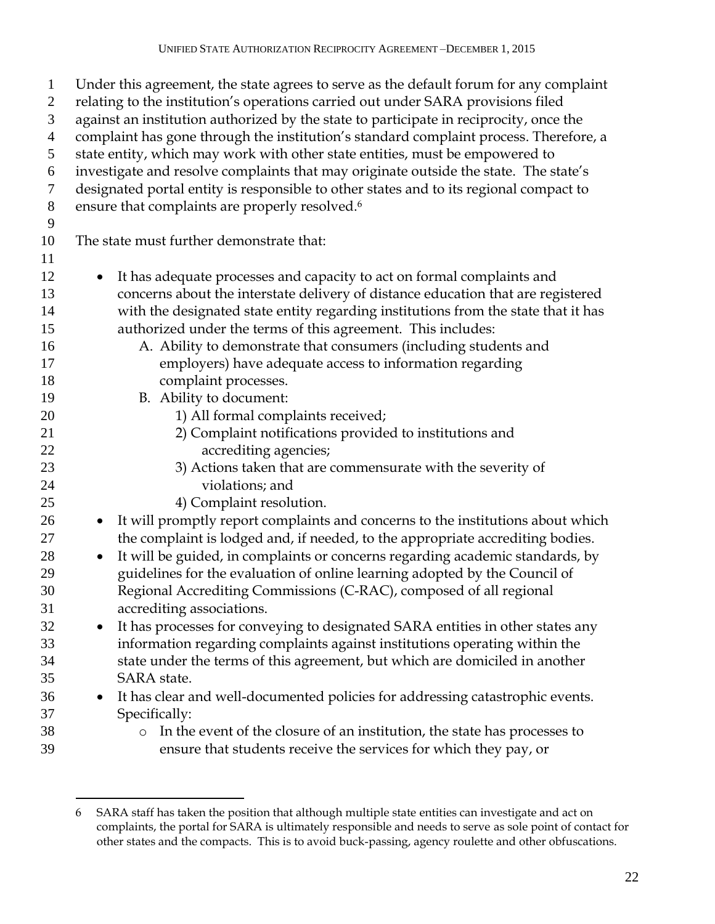| $\mathbf{1}$<br>$\overline{c}$<br>3<br>$\overline{4}$ | Under this agreement, the state agrees to serve as the default forum for any complaint<br>relating to the institution's operations carried out under SARA provisions filed<br>against an institution authorized by the state to participate in reciprocity, once the<br>complaint has gone through the institution's standard complaint process. Therefore, a |
|-------------------------------------------------------|---------------------------------------------------------------------------------------------------------------------------------------------------------------------------------------------------------------------------------------------------------------------------------------------------------------------------------------------------------------|
| 5                                                     | state entity, which may work with other state entities, must be empowered to                                                                                                                                                                                                                                                                                  |
| 6                                                     | investigate and resolve complaints that may originate outside the state. The state's                                                                                                                                                                                                                                                                          |
| 7                                                     | designated portal entity is responsible to other states and to its regional compact to                                                                                                                                                                                                                                                                        |
| 8                                                     | ensure that complaints are properly resolved. <sup>6</sup>                                                                                                                                                                                                                                                                                                    |
| 9                                                     |                                                                                                                                                                                                                                                                                                                                                               |
| 10                                                    | The state must further demonstrate that:                                                                                                                                                                                                                                                                                                                      |
| 11                                                    |                                                                                                                                                                                                                                                                                                                                                               |
| 12                                                    | It has adequate processes and capacity to act on formal complaints and<br>$\bullet$                                                                                                                                                                                                                                                                           |
| 13                                                    | concerns about the interstate delivery of distance education that are registered                                                                                                                                                                                                                                                                              |
| 14                                                    | with the designated state entity regarding institutions from the state that it has                                                                                                                                                                                                                                                                            |
| 15                                                    | authorized under the terms of this agreement. This includes:                                                                                                                                                                                                                                                                                                  |
| 16                                                    | A. Ability to demonstrate that consumers (including students and                                                                                                                                                                                                                                                                                              |
| 17                                                    | employers) have adequate access to information regarding                                                                                                                                                                                                                                                                                                      |
| 18                                                    | complaint processes.                                                                                                                                                                                                                                                                                                                                          |
| 19                                                    | B. Ability to document:                                                                                                                                                                                                                                                                                                                                       |
| 20                                                    | 1) All formal complaints received;                                                                                                                                                                                                                                                                                                                            |
| 21                                                    | 2) Complaint notifications provided to institutions and                                                                                                                                                                                                                                                                                                       |
| 22                                                    | accrediting agencies;                                                                                                                                                                                                                                                                                                                                         |
| 23                                                    | 3) Actions taken that are commensurate with the severity of                                                                                                                                                                                                                                                                                                   |
| 24                                                    | violations; and                                                                                                                                                                                                                                                                                                                                               |
| 25                                                    | 4) Complaint resolution.                                                                                                                                                                                                                                                                                                                                      |
| 26                                                    | It will promptly report complaints and concerns to the institutions about which<br>$\bullet$                                                                                                                                                                                                                                                                  |
| 27                                                    | the complaint is lodged and, if needed, to the appropriate accrediting bodies.                                                                                                                                                                                                                                                                                |
| 28                                                    | It will be guided, in complaints or concerns regarding academic standards, by<br>$\bullet$                                                                                                                                                                                                                                                                    |
| 29                                                    | guidelines for the evaluation of online learning adopted by the Council of                                                                                                                                                                                                                                                                                    |
| 30                                                    | Regional Accrediting Commissions (C-RAC), composed of all regional                                                                                                                                                                                                                                                                                            |
| 31                                                    | accrediting associations.                                                                                                                                                                                                                                                                                                                                     |
| 32                                                    | It has processes for conveying to designated SARA entities in other states any<br>$\bullet$                                                                                                                                                                                                                                                                   |
| 33                                                    | information regarding complaints against institutions operating within the                                                                                                                                                                                                                                                                                    |
| 34                                                    | state under the terms of this agreement, but which are domiciled in another                                                                                                                                                                                                                                                                                   |
| 35                                                    | SARA state.                                                                                                                                                                                                                                                                                                                                                   |
| 36                                                    | It has clear and well-documented policies for addressing catastrophic events.<br>$\bullet$                                                                                                                                                                                                                                                                    |
| 37                                                    | Specifically:                                                                                                                                                                                                                                                                                                                                                 |
| 38                                                    | In the event of the closure of an institution, the state has processes to<br>$\circ$                                                                                                                                                                                                                                                                          |
| 39                                                    | ensure that students receive the services for which they pay, or                                                                                                                                                                                                                                                                                              |

 $\overline{a}$ 

 SARA staff has taken the position that although multiple state entities can investigate and act on complaints, the portal for SARA is ultimately responsible and needs to serve as sole point of contact for other states and the compacts. This is to avoid buck-passing, agency roulette and other obfuscations.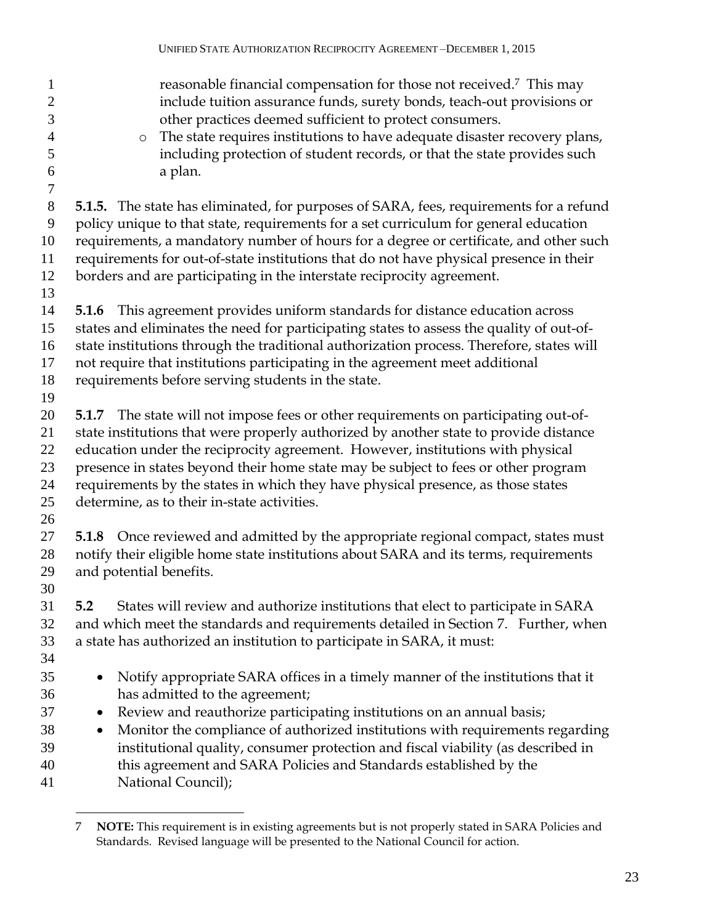| $\mathbf{1}$<br>$\overline{2}$<br>3<br>$\overline{4}$<br>5<br>6<br>$\tau$ | reasonable financial compensation for those not received. <sup>7</sup> This may<br>include tuition assurance funds, surety bonds, teach-out provisions or<br>other practices deemed sufficient to protect consumers.<br>The state requires institutions to have adequate disaster recovery plans,<br>$\circ$<br>including protection of student records, or that the state provides such<br>a plan.                                                                                              |
|---------------------------------------------------------------------------|--------------------------------------------------------------------------------------------------------------------------------------------------------------------------------------------------------------------------------------------------------------------------------------------------------------------------------------------------------------------------------------------------------------------------------------------------------------------------------------------------|
| 8<br>9<br>10<br>11<br>12<br>13                                            | <b>5.1.5.</b> The state has eliminated, for purposes of SARA, fees, requirements for a refund<br>policy unique to that state, requirements for a set curriculum for general education<br>requirements, a mandatory number of hours for a degree or certificate, and other such<br>requirements for out-of-state institutions that do not have physical presence in their<br>borders and are participating in the interstate reciprocity agreement.                                               |
| 14<br>15<br>16<br>17<br>18<br>19                                          | This agreement provides uniform standards for distance education across<br>5.1.6<br>states and eliminates the need for participating states to assess the quality of out-of-<br>state institutions through the traditional authorization process. Therefore, states will<br>not require that institutions participating in the agreement meet additional<br>requirements before serving students in the state.                                                                                   |
| 20<br>21<br>22<br>23<br>24<br>25<br>26                                    | 5.1.7 The state will not impose fees or other requirements on participating out-of-<br>state institutions that were properly authorized by another state to provide distance<br>education under the reciprocity agreement. However, institutions with physical<br>presence in states beyond their home state may be subject to fees or other program<br>requirements by the states in which they have physical presence, as those states<br>determine, as to their in-state activities.          |
| 27<br>28<br>29<br>30                                                      | <b>5.1.8</b> Once reviewed and admitted by the appropriate regional compact, states must<br>notify their eligible home state institutions about SARA and its terms, requirements<br>and potential benefits.                                                                                                                                                                                                                                                                                      |
| 31<br>32<br>33<br>34                                                      | States will review and authorize institutions that elect to participate in SARA<br>5.2<br>and which meet the standards and requirements detailed in Section 7. Further, when<br>a state has authorized an institution to participate in SARA, it must:                                                                                                                                                                                                                                           |
| 35<br>36<br>37<br>38<br>39<br>40<br>41                                    | Notify appropriate SARA offices in a timely manner of the institutions that it<br>$\bullet$<br>has admitted to the agreement;<br>Review and reauthorize participating institutions on an annual basis;<br>$\bullet$<br>Monitor the compliance of authorized institutions with requirements regarding<br>$\bullet$<br>institutional quality, consumer protection and fiscal viability (as described in<br>this agreement and SARA Policies and Standards established by the<br>National Council); |

 $\overline{a}$  **NOTE:** This requirement is in existing agreements but is not properly stated in SARA Policies and Standards. Revised language will be presented to the National Council for action.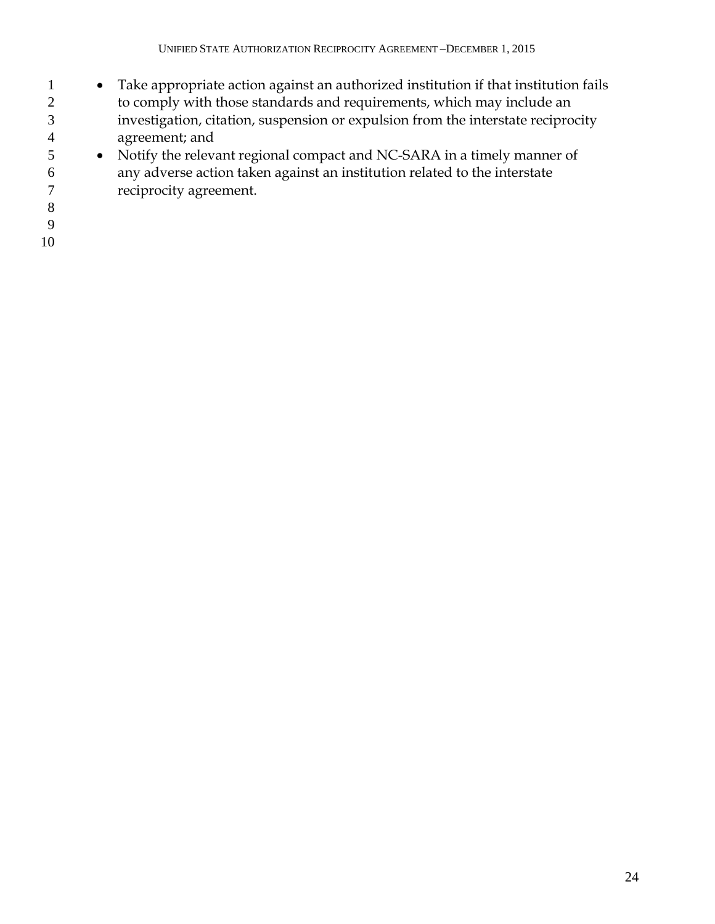- Take appropriate action against an authorized institution if that institution fails 2 to comply with those standards and requirements, which may include an investigation, citation, suspension or expulsion from the interstate reciprocity agreement; and
- Notify the relevant regional compact and NC-SARA in a timely manner of any adverse action taken against an institution related to the interstate reciprocity agreement.
- 
- 
-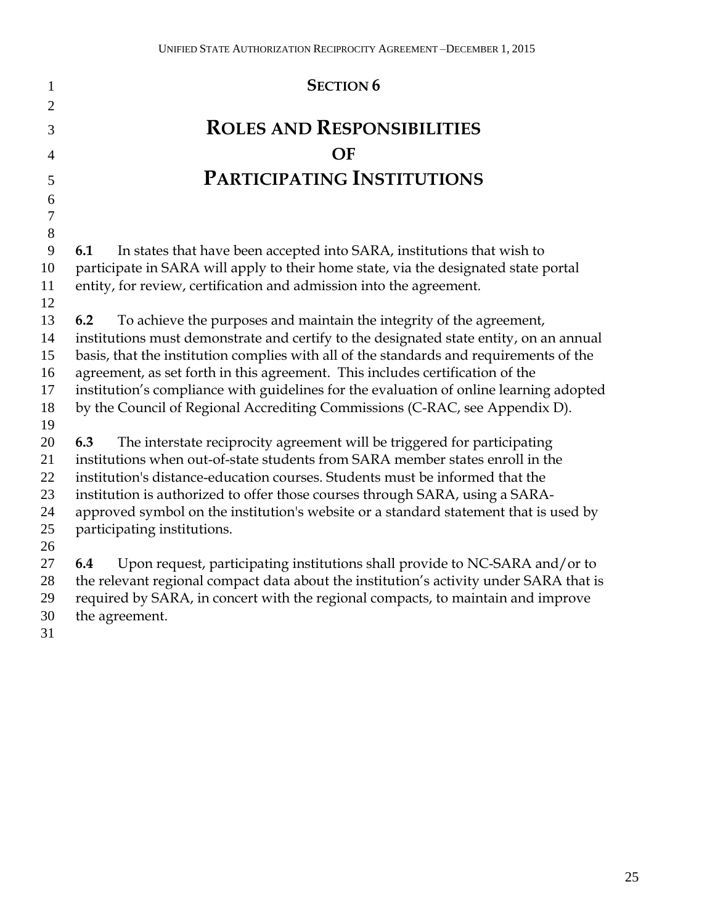| $\mathbf{1}$     | <b>SECTION 6</b>                                                                                                                                                 |
|------------------|------------------------------------------------------------------------------------------------------------------------------------------------------------------|
| $\overline{2}$   |                                                                                                                                                                  |
|                  | <b>ROLES AND RESPONSIBILITIES</b>                                                                                                                                |
| 3                |                                                                                                                                                                  |
| 4                | OF                                                                                                                                                               |
| 5                | PARTICIPATING INSTITUTIONS                                                                                                                                       |
| 6                |                                                                                                                                                                  |
| $\boldsymbol{7}$ |                                                                                                                                                                  |
| $8\,$            |                                                                                                                                                                  |
| 9                | 6.1<br>In states that have been accepted into SARA, institutions that wish to                                                                                    |
| 10               | participate in SARA will apply to their home state, via the designated state portal                                                                              |
| 11               | entity, for review, certification and admission into the agreement.                                                                                              |
| 12               |                                                                                                                                                                  |
| 13               | To achieve the purposes and maintain the integrity of the agreement,<br>6.2                                                                                      |
| 14               | institutions must demonstrate and certify to the designated state entity, on an annual                                                                           |
| 15               | basis, that the institution complies with all of the standards and requirements of the                                                                           |
| 16               | agreement, as set forth in this agreement. This includes certification of the                                                                                    |
| 17               | institution's compliance with guidelines for the evaluation of online learning adopted                                                                           |
| 18               | by the Council of Regional Accrediting Commissions (C-RAC, see Appendix D).                                                                                      |
| 19               |                                                                                                                                                                  |
| 20<br>21         | The interstate reciprocity agreement will be triggered for participating<br>6.3<br>institutions when out-of-state students from SARA member states enroll in the |
| 22               | institution's distance-education courses. Students must be informed that the                                                                                     |
| 23               | institution is authorized to offer those courses through SARA, using a SARA-                                                                                     |
| 24               | approved symbol on the institution's website or a standard statement that is used by                                                                             |
| 25               | participating institutions.                                                                                                                                      |
| 26               |                                                                                                                                                                  |
| 27               | Upon request, participating institutions shall provide to NC-SARA and/or to<br>6.4                                                                               |
| 28               | the relevant regional compact data about the institution's activity under SARA that is                                                                           |
| 29               | required by SARA, in concert with the regional compacts, to maintain and improve                                                                                 |
| $\sim$ $\sim$    |                                                                                                                                                                  |

- 29 required by 5A.<br>30 the agreement.
-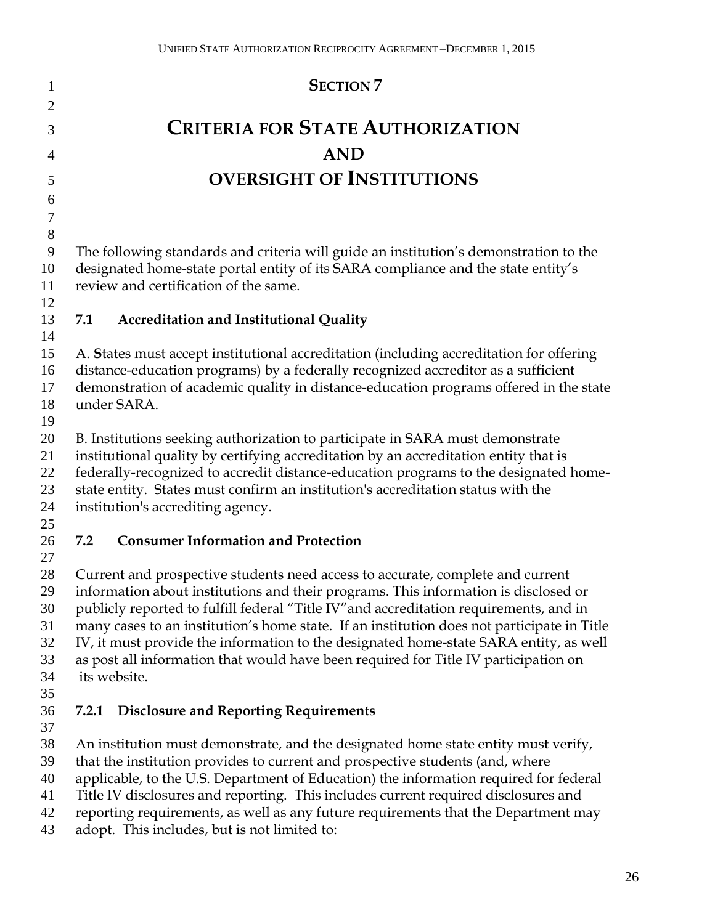| 1                | <b>SECTION 7</b>                                                                                                                                                                     |
|------------------|--------------------------------------------------------------------------------------------------------------------------------------------------------------------------------------|
| $\overline{2}$   |                                                                                                                                                                                      |
| 3                | <b>CRITERIA FOR STATE AUTHORIZATION</b>                                                                                                                                              |
| $\overline{4}$   | <b>AND</b>                                                                                                                                                                           |
| 5                | <b>OVERSIGHT OF INSTITUTIONS</b>                                                                                                                                                     |
| 6                |                                                                                                                                                                                      |
| $\boldsymbol{7}$ |                                                                                                                                                                                      |
| 8                |                                                                                                                                                                                      |
| 9                | The following standards and criteria will guide an institution's demonstration to the                                                                                                |
| 10               | designated home-state portal entity of its SARA compliance and the state entity's                                                                                                    |
| 11               | review and certification of the same.                                                                                                                                                |
| 12               |                                                                                                                                                                                      |
| 13<br>14         | <b>Accreditation and Institutional Quality</b><br>7.1                                                                                                                                |
| 15               | A. States must accept institutional accreditation (including accreditation for offering                                                                                              |
| 16               | distance-education programs) by a federally recognized accreditor as a sufficient                                                                                                    |
| 17               | demonstration of academic quality in distance-education programs offered in the state                                                                                                |
| 18               | under SARA.                                                                                                                                                                          |
| 19               |                                                                                                                                                                                      |
| 20               | B. Institutions seeking authorization to participate in SARA must demonstrate                                                                                                        |
| 21               | institutional quality by certifying accreditation by an accreditation entity that is                                                                                                 |
| 22               | federally-recognized to accredit distance-education programs to the designated home-                                                                                                 |
| 23               | state entity. States must confirm an institution's accreditation status with the                                                                                                     |
| 24               | institution's accrediting agency.                                                                                                                                                    |
| 25               |                                                                                                                                                                                      |
| 26               | <b>Consumer Information and Protection</b><br>7.2                                                                                                                                    |
| 27               |                                                                                                                                                                                      |
| 28               | Current and prospective students need access to accurate, complete and current                                                                                                       |
| 29<br>30         | information about institutions and their programs. This information is disclosed or                                                                                                  |
| 31               | publicly reported to fulfill federal "Title IV" and accreditation requirements, and in<br>many cases to an institution's home state. If an institution does not participate in Title |
| 32               | IV, it must provide the information to the designated home-state SARA entity, as well                                                                                                |
| 33               | as post all information that would have been required for Title IV participation on                                                                                                  |
| 34               | its website.                                                                                                                                                                         |
| 35               |                                                                                                                                                                                      |
| 36               | <b>Disclosure and Reporting Requirements</b><br>7.2.1                                                                                                                                |
| 37               |                                                                                                                                                                                      |
| 38               | An institution must demonstrate, and the designated home state entity must verify,                                                                                                   |
| 39               | that the institution provides to current and prospective students (and, where                                                                                                        |
| 40               | applicable, to the U.S. Department of Education) the information required for federal                                                                                                |
| 41               | Title IV disclosures and reporting. This includes current required disclosures and                                                                                                   |
| 42               | reporting requirements, as well as any future requirements that the Department may                                                                                                   |
| 43               | adopt. This includes, but is not limited to:                                                                                                                                         |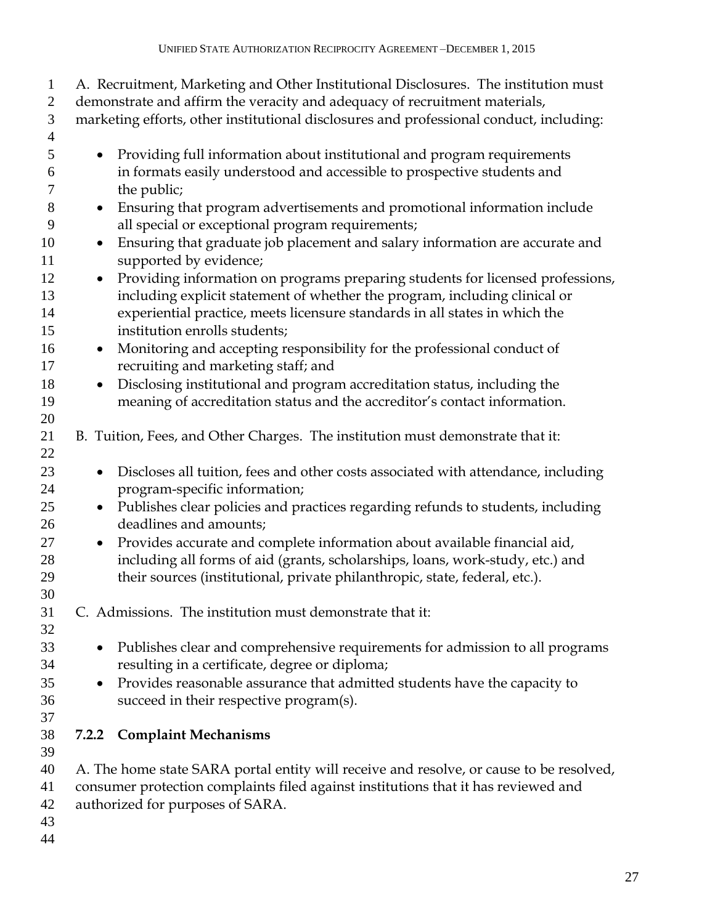| $\mathbf{1}$<br>$\overline{2}$<br>$\mathfrak{Z}$<br>$\overline{4}$ | A. Recruitment, Marketing and Other Institutional Disclosures. The institution must<br>demonstrate and affirm the veracity and adequacy of recruitment materials,<br>marketing efforts, other institutional disclosures and professional conduct, including:                     |  |
|--------------------------------------------------------------------|----------------------------------------------------------------------------------------------------------------------------------------------------------------------------------------------------------------------------------------------------------------------------------|--|
| 5<br>6<br>$\tau$                                                   | Providing full information about institutional and program requirements<br>in formats easily understood and accessible to prospective students and<br>the public;                                                                                                                |  |
| $8\,$<br>9                                                         | Ensuring that program advertisements and promotional information include<br>$\bullet$<br>all special or exceptional program requirements;                                                                                                                                        |  |
| 10<br>11                                                           | Ensuring that graduate job placement and salary information are accurate and<br>$\bullet$<br>supported by evidence;                                                                                                                                                              |  |
| 12<br>13<br>14<br>15                                               | Providing information on programs preparing students for licensed professions,<br>including explicit statement of whether the program, including clinical or<br>experiential practice, meets licensure standards in all states in which the<br>institution enrolls students;     |  |
| 16<br>17                                                           | Monitoring and accepting responsibility for the professional conduct of<br>$\bullet$<br>recruiting and marketing staff; and                                                                                                                                                      |  |
| 18<br>19                                                           | Disclosing institutional and program accreditation status, including the<br>$\bullet$<br>meaning of accreditation status and the accreditor's contact information.                                                                                                               |  |
| 20<br>21<br>22                                                     | B. Tuition, Fees, and Other Charges. The institution must demonstrate that it:                                                                                                                                                                                                   |  |
| 23<br>24                                                           | Discloses all tuition, fees and other costs associated with attendance, including<br>$\bullet$<br>program-specific information;                                                                                                                                                  |  |
| 25<br>26                                                           | Publishes clear policies and practices regarding refunds to students, including<br>$\bullet$<br>deadlines and amounts;                                                                                                                                                           |  |
| 27<br>28<br>29<br>30                                               | Provides accurate and complete information about available financial aid,<br>$\bullet$<br>including all forms of aid (grants, scholarships, loans, work-study, etc.) and<br>their sources (institutional, private philanthropic, state, federal, etc.).                          |  |
| 31<br>32                                                           | C. Admissions. The institution must demonstrate that it:                                                                                                                                                                                                                         |  |
| 33<br>34<br>35<br>36<br>37                                         | Publishes clear and comprehensive requirements for admission to all programs<br>$\bullet$<br>resulting in a certificate, degree or diploma;<br>Provides reasonable assurance that admitted students have the capacity to<br>$\bullet$<br>succeed in their respective program(s). |  |
| 38<br>39                                                           | <b>Complaint Mechanisms</b><br>7.2.2                                                                                                                                                                                                                                             |  |
| 40<br>41<br>42<br>43<br>44                                         | A. The home state SARA portal entity will receive and resolve, or cause to be resolved,<br>consumer protection complaints filed against institutions that it has reviewed and<br>authorized for purposes of SARA.                                                                |  |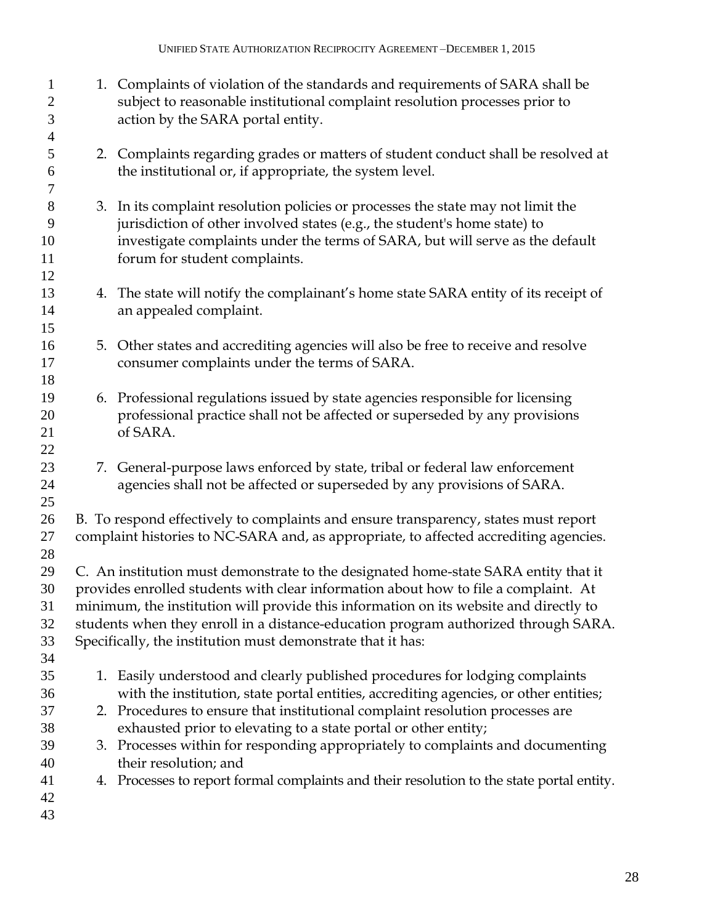| 1<br>$\mathbf{2}$<br>3   |    | 1. Complaints of violation of the standards and requirements of SARA shall be<br>subject to reasonable institutional complaint resolution processes prior to<br>action by the SARA portal entity. |
|--------------------------|----|---------------------------------------------------------------------------------------------------------------------------------------------------------------------------------------------------|
| $\overline{4}$<br>5<br>6 |    | 2. Complaints regarding grades or matters of student conduct shall be resolved at<br>the institutional or, if appropriate, the system level.                                                      |
| $\tau$                   |    |                                                                                                                                                                                                   |
| $8\,$                    |    | 3. In its complaint resolution policies or processes the state may not limit the                                                                                                                  |
| 9<br>10                  |    | jurisdiction of other involved states (e.g., the student's home state) to                                                                                                                         |
| 11                       |    | investigate complaints under the terms of SARA, but will serve as the default<br>forum for student complaints.                                                                                    |
| 12                       |    |                                                                                                                                                                                                   |
| 13                       |    | 4. The state will notify the complainant's home state SARA entity of its receipt of                                                                                                               |
| 14                       |    | an appealed complaint.                                                                                                                                                                            |
| 15                       |    |                                                                                                                                                                                                   |
| 16                       |    | 5. Other states and accrediting agencies will also be free to receive and resolve                                                                                                                 |
| 17                       |    | consumer complaints under the terms of SARA.                                                                                                                                                      |
| 18                       |    |                                                                                                                                                                                                   |
| 19                       |    | 6. Professional regulations issued by state agencies responsible for licensing                                                                                                                    |
| 20                       |    | professional practice shall not be affected or superseded by any provisions                                                                                                                       |
| 21                       |    | of SARA.                                                                                                                                                                                          |
| 22                       |    |                                                                                                                                                                                                   |
| 23                       |    | 7. General-purpose laws enforced by state, tribal or federal law enforcement                                                                                                                      |
| 24                       |    | agencies shall not be affected or superseded by any provisions of SARA.                                                                                                                           |
| 25                       |    |                                                                                                                                                                                                   |
| 26                       |    | B. To respond effectively to complaints and ensure transparency, states must report                                                                                                               |
| 27                       |    | complaint histories to NC-SARA and, as appropriate, to affected accrediting agencies.                                                                                                             |
| 28                       |    |                                                                                                                                                                                                   |
| 29                       |    | C. An institution must demonstrate to the designated home-state SARA entity that it                                                                                                               |
| 30                       |    | provides enrolled students with clear information about how to file a complaint. At                                                                                                               |
| 31                       |    | minimum, the institution will provide this information on its website and directly to                                                                                                             |
| 32                       |    | students when they enroll in a distance-education program authorized through SARA.                                                                                                                |
| 33<br>34                 |    | Specifically, the institution must demonstrate that it has:                                                                                                                                       |
| 35                       |    | 1. Easily understood and clearly published procedures for lodging complaints                                                                                                                      |
| 36                       |    | with the institution, state portal entities, accrediting agencies, or other entities;                                                                                                             |
| 37                       |    | 2. Procedures to ensure that institutional complaint resolution processes are                                                                                                                     |
| 38                       |    | exhausted prior to elevating to a state portal or other entity;                                                                                                                                   |
| 39                       | 3. | Processes within for responding appropriately to complaints and documenting                                                                                                                       |
| 40                       |    | their resolution; and                                                                                                                                                                             |
| 41                       |    | 4. Processes to report formal complaints and their resolution to the state portal entity.                                                                                                         |
| 42                       |    |                                                                                                                                                                                                   |
| 43                       |    |                                                                                                                                                                                                   |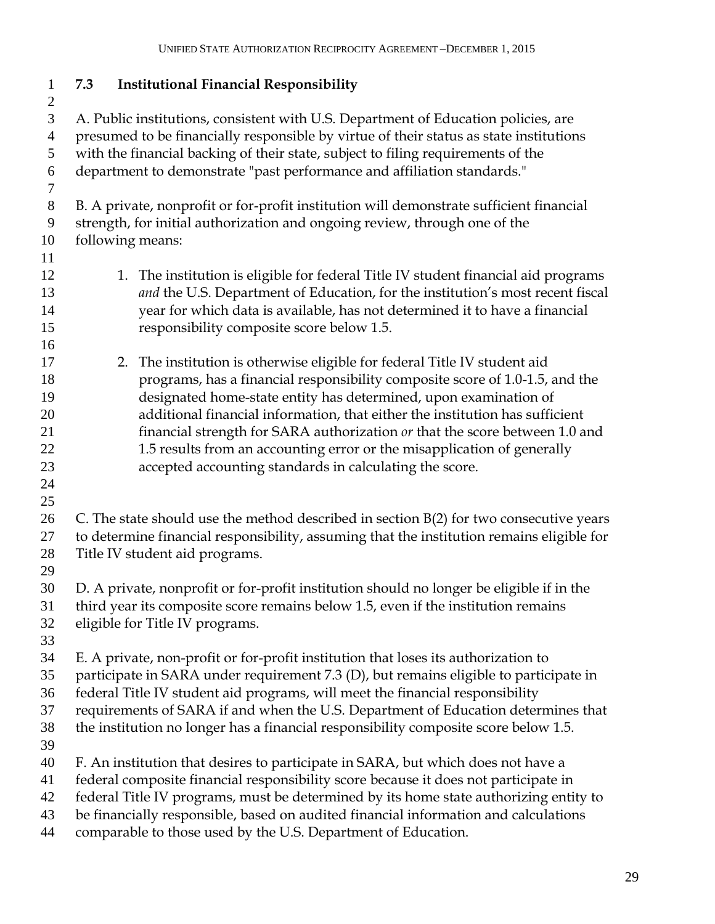**7.3 Institutional Financial Responsibility** A. Public institutions, consistent with U.S. Department of Education policies, are presumed to be financially responsible by virtue of their status as state institutions with the financial backing of their state, subject to filing requirements of the department to demonstrate "past performance and affiliation standards." B. A private, nonprofit or for-profit institution will demonstrate sufficient financial strength, for initial authorization and ongoing review, through one of the following means: 12 1. The institution is eligible for federal Title IV student financial aid programs *and* the U.S. Department of Education, for the institution's most recent fiscal year for which data is available, has not determined it to have a financial responsibility composite score below 1.5. 2. The institution is otherwise eligible for federal Title IV student aid programs, has a financial responsibility composite score of 1.0-1.5, and the designated home-state entity has determined, upon examination of additional financial information, that either the institution has sufficient financial strength for SARA authorization *or* that the score between 1.0 and 22 1.5 results from an accounting error or the misapplication of generally accepted accounting standards in calculating the score. C. The state should use the method described in section B(2) for two consecutive years to determine financial responsibility, assuming that the institution remains eligible for Title IV student aid programs. D. A private, nonprofit or for-profit institution should no longer be eligible if in the third year its composite score remains below 1.5, even if the institution remains eligible for Title IV programs. E. A private, non-profit or for-profit institution that loses its authorization to participate in SARA under requirement 7.3 (D), but remains eligible to participate in federal Title IV student aid programs, will meet the financial responsibility requirements of SARA if and when the U.S. Department of Education determines that the institution no longer has a financial responsibility composite score below 1.5. F. An institution that desires to participate in SARA, but which does not have a federal composite financial responsibility score because it does not participate in federal Title IV programs, must be determined by its home state authorizing entity to be financially responsible, based on audited financial information and calculations comparable to those used by the U.S. Department of Education.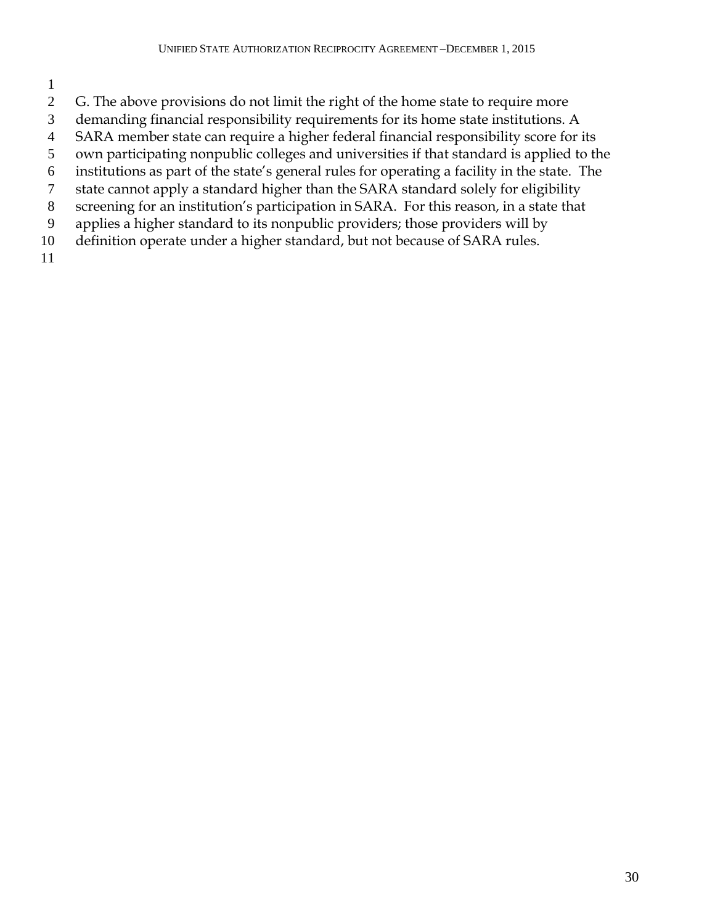- 
- G. The above provisions do not limit the right of the home state to require more
- demanding financial responsibility requirements for its home state institutions. A
- SARA member state can require a higher federal financial responsibility score for its
- own participating nonpublic colleges and universities if that standard is applied to the
- institutions as part of the state's general rules for operating a facility in the state. The
- state cannot apply a standard higher than the SARA standard solely for eligibility
- screening for an institution's participation in SARA. For this reason, in a state that
- applies a higher standard to its nonpublic providers; those providers will by
- definition operate under a higher standard, but not because of SARA rules.
-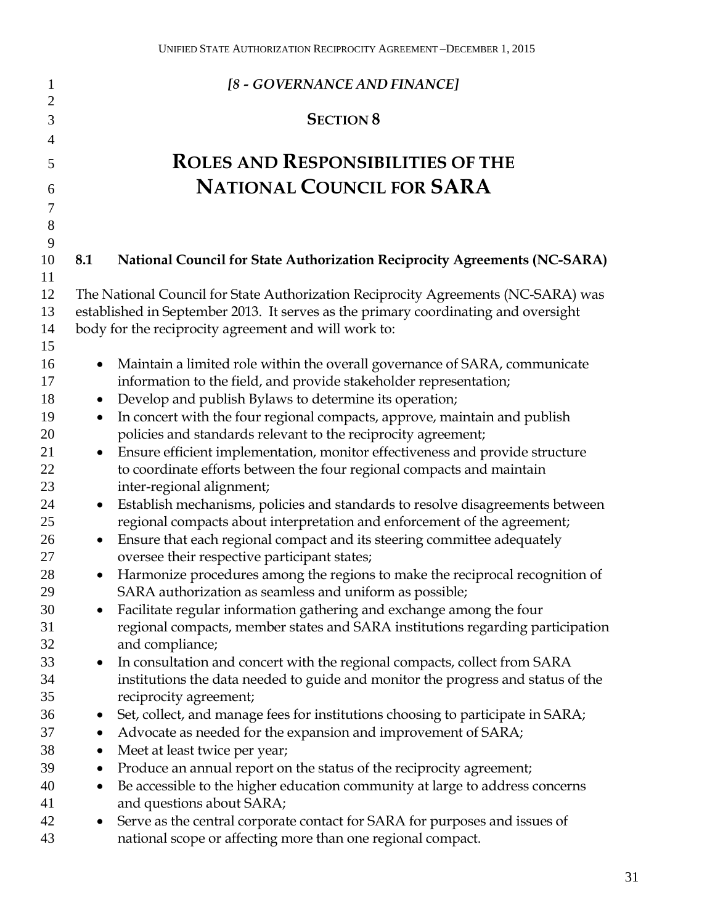| 1                 | [8 - GOVERNANCE AND FINANCE]                                                                                                                  |
|-------------------|-----------------------------------------------------------------------------------------------------------------------------------------------|
| $\mathbf{2}$<br>3 | <b>SECTION 8</b>                                                                                                                              |
| 4                 |                                                                                                                                               |
| 5                 | <b>ROLES AND RESPONSIBILITIES OF THE</b>                                                                                                      |
| 6                 | <b>NATIONAL COUNCIL FOR SARA</b>                                                                                                              |
| $\tau$            |                                                                                                                                               |
| 8                 |                                                                                                                                               |
| 9                 |                                                                                                                                               |
| 10                | <b>National Council for State Authorization Reciprocity Agreements (NC-SARA)</b><br>8.1                                                       |
| 11                |                                                                                                                                               |
| 12                | The National Council for State Authorization Reciprocity Agreements (NC-SARA) was                                                             |
| 13                | established in September 2013. It serves as the primary coordinating and oversight                                                            |
| 14                | body for the reciprocity agreement and will work to:                                                                                          |
| 15                |                                                                                                                                               |
| 16                | Maintain a limited role within the overall governance of SARA, communicate                                                                    |
| 17                | information to the field, and provide stakeholder representation;                                                                             |
| 18                | Develop and publish Bylaws to determine its operation;<br>$\bullet$                                                                           |
| 19<br>20          | In concert with the four regional compacts, approve, maintain and publish<br>$\bullet$                                                        |
| 21                | policies and standards relevant to the reciprocity agreement;<br>Ensure efficient implementation, monitor effectiveness and provide structure |
| 22                | to coordinate efforts between the four regional compacts and maintain                                                                         |
| 23                | inter-regional alignment;                                                                                                                     |
| 24                | Establish mechanisms, policies and standards to resolve disagreements between<br>$\bullet$                                                    |
| 25                | regional compacts about interpretation and enforcement of the agreement;                                                                      |
| 26                | Ensure that each regional compact and its steering committee adequately<br>$\bullet$                                                          |
| 27                | oversee their respective participant states;                                                                                                  |
| 28                | Harmonize procedures among the regions to make the reciprocal recognition of                                                                  |
| 29                | SARA authorization as seamless and uniform as possible;                                                                                       |
| 30                | Facilitate regular information gathering and exchange among the four                                                                          |
| 31                | regional compacts, member states and SARA institutions regarding participation                                                                |
| 32                | and compliance;                                                                                                                               |
| 33                | In consultation and concert with the regional compacts, collect from SARA                                                                     |
| 34                | institutions the data needed to guide and monitor the progress and status of the                                                              |
| 35                | reciprocity agreement;                                                                                                                        |
| 36                | Set, collect, and manage fees for institutions choosing to participate in SARA;<br>$\bullet$                                                  |
| 37                | Advocate as needed for the expansion and improvement of SARA;<br>$\bullet$                                                                    |
| 38                | Meet at least twice per year;<br>$\bullet$                                                                                                    |
| 39                | Produce an annual report on the status of the reciprocity agreement;<br>$\bullet$                                                             |
| 40                | Be accessible to the higher education community at large to address concerns<br>$\bullet$                                                     |
| 41                | and questions about SARA;                                                                                                                     |
| 42                | Serve as the central corporate contact for SARA for purposes and issues of                                                                    |
| 43                | national scope or affecting more than one regional compact.                                                                                   |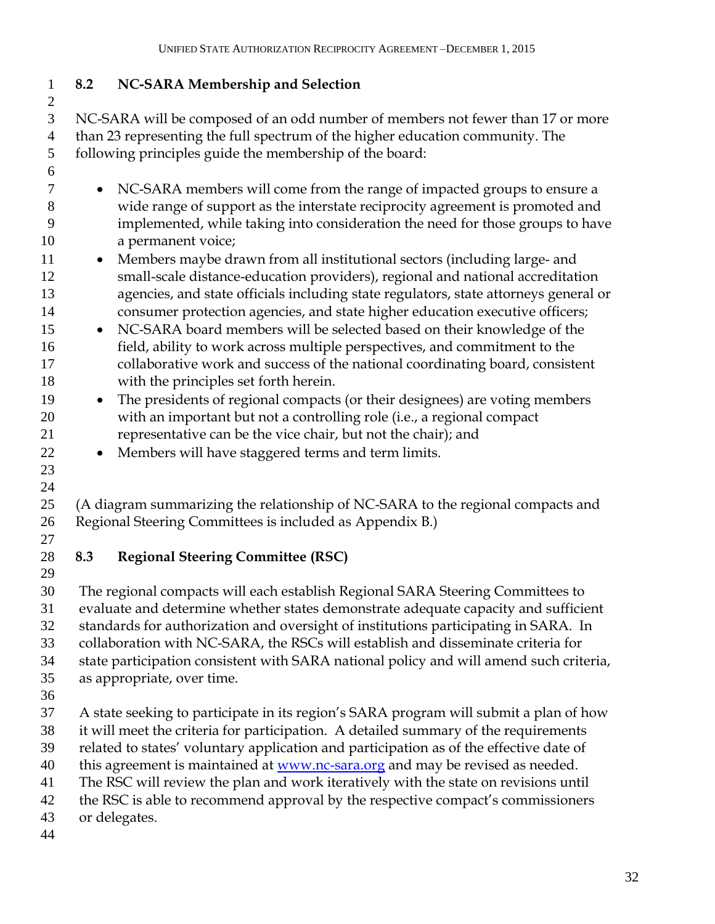## **8.2 NC-SARA Membership and Selection**

 NC-SARA will be composed of an odd number of members not fewer than 17 or more than 23 representing the full spectrum of the higher education community. The following principles guide the membership of the board:

- NC-SARA members will come from the range of impacted groups to ensure a wide range of support as the interstate reciprocity agreement is promoted and implemented, while taking into consideration the need for those groups to have a permanent voice;
- 11 Members maybe drawn from all institutional sectors (including large- and small-scale distance-education providers), regional and national accreditation agencies, and state officials including state regulators, state attorneys general or consumer protection agencies, and state higher education executive officers;
- 15 NC-SARA board members will be selected based on their knowledge of the field, ability to work across multiple perspectives, and commitment to the collaborative work and success of the national coordinating board, consistent with the principles set forth herein.
- 19 The presidents of regional compacts (or their designees) are voting members with an important but not a controlling role (i.e., a regional compact representative can be the vice chair, but not the chair); and
- Members will have staggered terms and term limits.

 (A diagram summarizing the relationship of NC-SARA to the regional compacts and Regional Steering Committees is included as Appendix B.)

 

# **8.3 Regional Steering Committee (RSC)**

 The regional compacts will each establish Regional SARA Steering Committees to evaluate and determine whether states demonstrate adequate capacity and sufficient standards for authorization and oversight of institutions participating in SARA. In collaboration with NC-SARA, the RSCs will establish and disseminate criteria for state participation consistent with SARA national policy and will amend such criteria, as appropriate, over time.

- 
- A state seeking to participate in its region's SARA program will submit a plan of how
- it will meet the criteria for participation. A detailed summary of the requirements
- related to states' voluntary application and participation as of the effective date of
- 40 this agreement is maintained at [www.nc-sara.org](http://www.nc-sara.org/) and may be revised as needed.
- The RSC will review the plan and work iteratively with the state on revisions until
- the RSC is able to recommend approval by the respective compact's commissioners
- or delegates.
-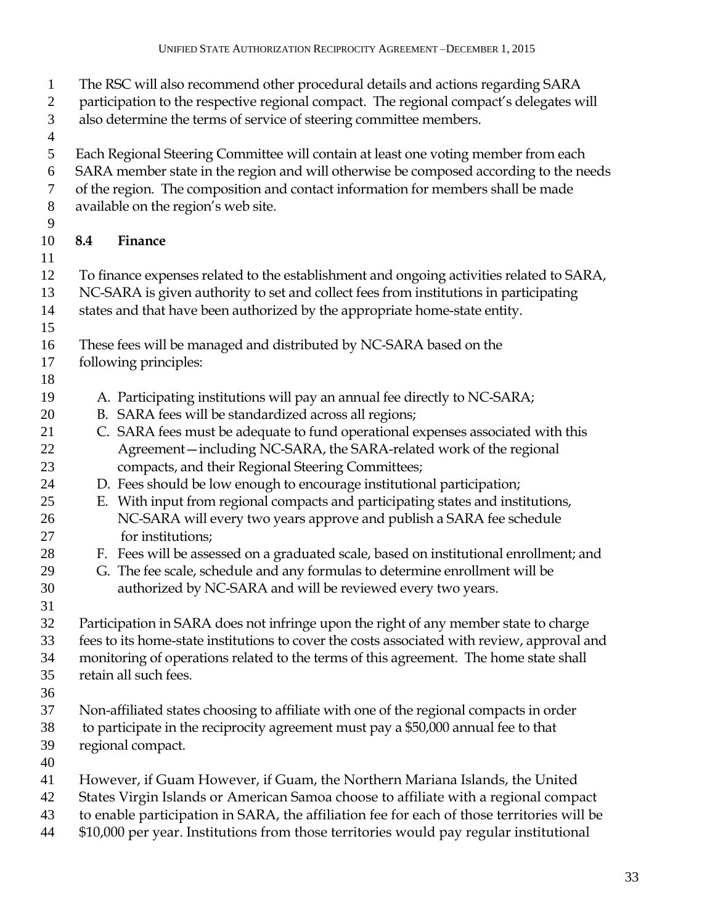The RSC will also recommend other procedural details and actions regarding SARA 2 participation to the respective regional compact. The regional compact's delegates will also determine the terms of service of steering committee members. Each Regional Steering Committee will contain at least one voting member from each SARA member state in the region and will otherwise be composed according to the needs of the region. The composition and contact information for members shall be made available on the region's web site. **8.4 Finance** To finance expenses related to the establishment and ongoing activities related to SARA, NC-SARA is given authority to set and collect fees from institutions in participating states and that have been authorized by the appropriate home-state entity. These fees will be managed and distributed by NC-SARA based on the following principles: A. Participating institutions will pay an annual fee directly to NC-SARA; B. SARA fees will be standardized across all regions; C. SARA fees must be adequate to fund operational expenses associated with this Agreement—including NC-SARA, the SARA-related work of the regional compacts, and their Regional Steering Committees; D. Fees should be low enough to encourage institutional participation; E. With input from regional compacts and participating states and institutions, NC-SARA will every two years approve and publish a SARA fee schedule for institutions; F. Fees will be assessed on a graduated scale, based on institutional enrollment; and G. The fee scale, schedule and any formulas to determine enrollment will be authorized by NC-SARA and will be reviewed every two years. Participation in SARA does not infringe upon the right of any member state to charge fees to its home-state institutions to cover the costs associated with review, approval and monitoring of operations related to the terms of this agreement. The home state shall retain all such fees. Non-affiliated states choosing to affiliate with one of the regional compacts in order to participate in the reciprocity agreement must pay a \$50,000 annual fee to that regional compact. However, if Guam However, if Guam, the Northern Mariana Islands, the United States Virgin Islands or American Samoa choose to affiliate with a regional compact to enable participation in SARA, the affiliation fee for each of those territories will be \$10,000 per year. Institutions from those territories would pay regular institutional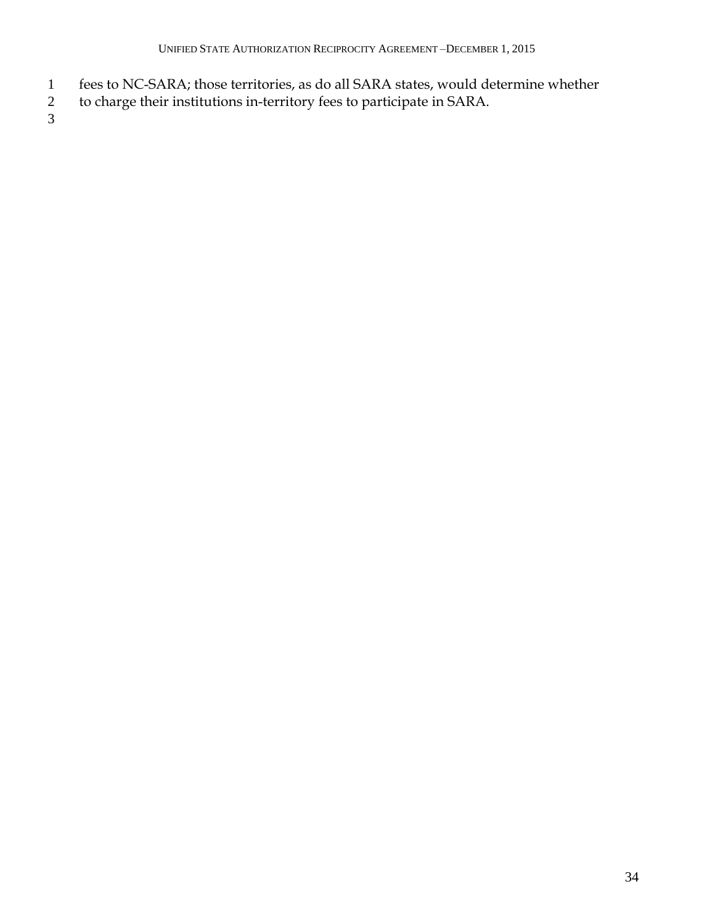- fees to NC-SARA; those territories, as do all SARA states, would determine whether
- to charge their institutions in-territory fees to participate in SARA.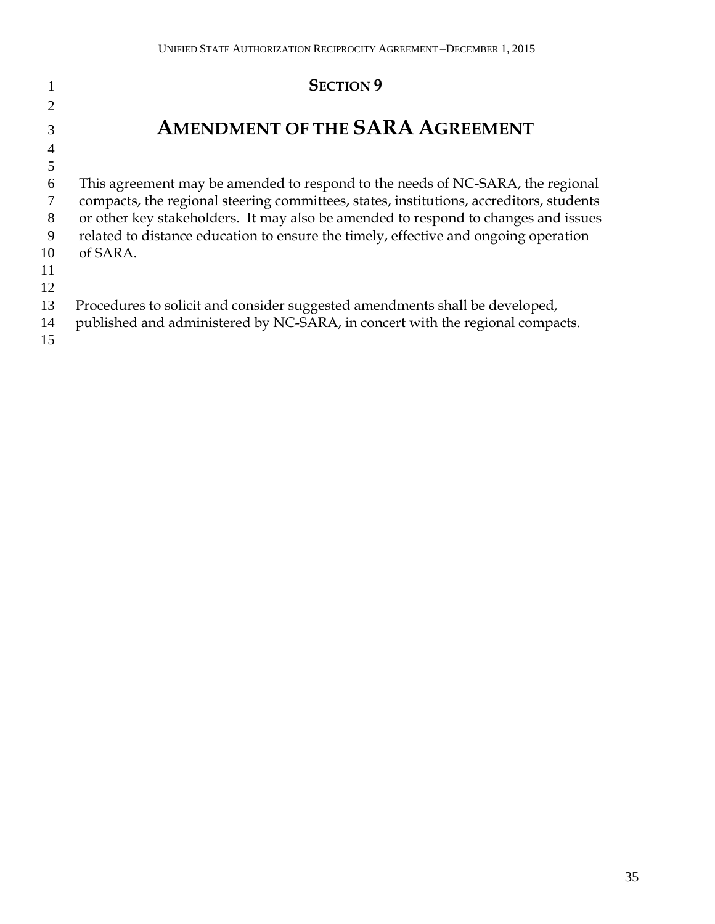## **SECTION 9 AMENDMENT OF THE SARA AGREEMENT** This agreement may be amended to respond to the needs of NC-SARA, the regional compacts, the regional steering committees, states, institutions, accreditors, students or other key stakeholders. It may also be amended to respond to changes and issues related to distance education to ensure the timely, effective and ongoing operation of SARA. Procedures to solicit and consider suggested amendments shall be developed, published and administered by NC-SARA, in concert with the regional compacts.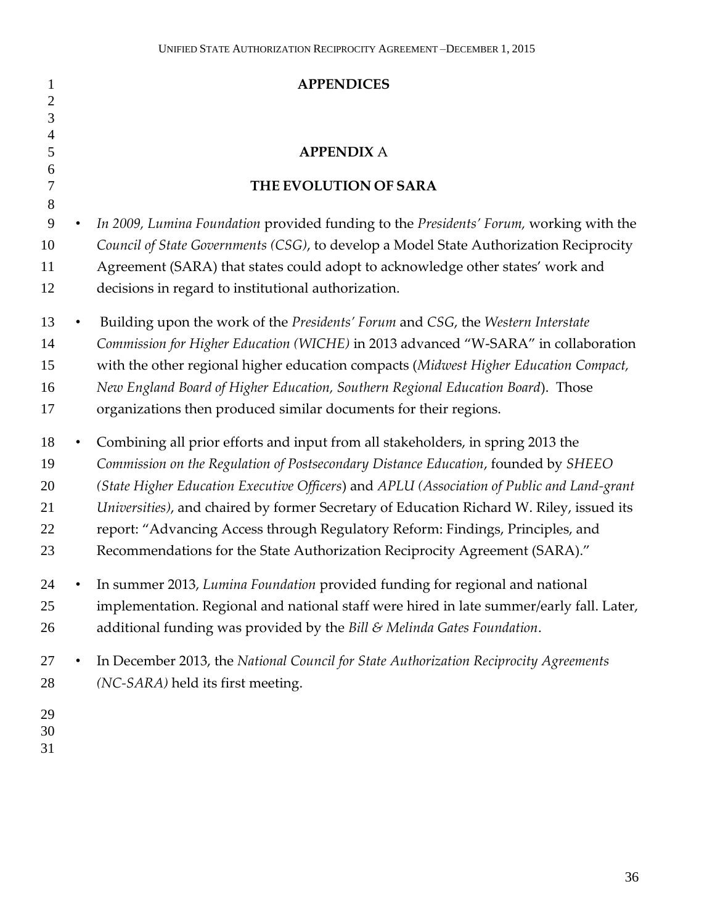| $\mathbf{1}$                     | <b>APPENDICES</b>                                                                                                                                                                                                                                                                                                                                                                                                                                                                                                               |
|----------------------------------|---------------------------------------------------------------------------------------------------------------------------------------------------------------------------------------------------------------------------------------------------------------------------------------------------------------------------------------------------------------------------------------------------------------------------------------------------------------------------------------------------------------------------------|
| $\mathbf{2}$<br>3                |                                                                                                                                                                                                                                                                                                                                                                                                                                                                                                                                 |
| $\overline{4}$                   |                                                                                                                                                                                                                                                                                                                                                                                                                                                                                                                                 |
| 5                                | <b>APPENDIX A</b>                                                                                                                                                                                                                                                                                                                                                                                                                                                                                                               |
| 6<br>7<br>8                      | THE EVOLUTION OF SARA                                                                                                                                                                                                                                                                                                                                                                                                                                                                                                           |
| 9<br>10<br>11<br>12              | In 2009, Lumina Foundation provided funding to the Presidents' Forum, working with the<br>Council of State Governments (CSG), to develop a Model State Authorization Reciprocity<br>Agreement (SARA) that states could adopt to acknowledge other states' work and<br>decisions in regard to institutional authorization.                                                                                                                                                                                                       |
| 13<br>14<br>15<br>16<br>17       | Building upon the work of the Presidents' Forum and CSG, the Western Interstate<br>Commission for Higher Education (WICHE) in 2013 advanced "W-SARA" in collaboration<br>with the other regional higher education compacts (Midwest Higher Education Compact,<br>New England Board of Higher Education, Southern Regional Education Board). Those<br>organizations then produced similar documents for their regions.                                                                                                           |
| 18<br>19<br>20<br>21<br>22<br>23 | Combining all prior efforts and input from all stakeholders, in spring 2013 the<br>Commission on the Regulation of Postsecondary Distance Education, founded by SHEEO<br>(State Higher Education Executive Officers) and APLU (Association of Public and Land-grant<br>Universities), and chaired by former Secretary of Education Richard W. Riley, issued its<br>report: "Advancing Access through Regulatory Reform: Findings, Principles, and<br>Recommendations for the State Authorization Reciprocity Agreement (SARA)." |
| 24<br>25<br>26                   | In summer 2013, Lumina Foundation provided funding for regional and national<br>implementation. Regional and national staff were hired in late summer/early fall. Later,<br>additional funding was provided by the Bill & Melinda Gates Foundation.                                                                                                                                                                                                                                                                             |
| 27<br>28<br>29                   | In December 2013, the National Council for State Authorization Reciprocity Agreements<br>(NC-SARA) held its first meeting.                                                                                                                                                                                                                                                                                                                                                                                                      |
| 30                               |                                                                                                                                                                                                                                                                                                                                                                                                                                                                                                                                 |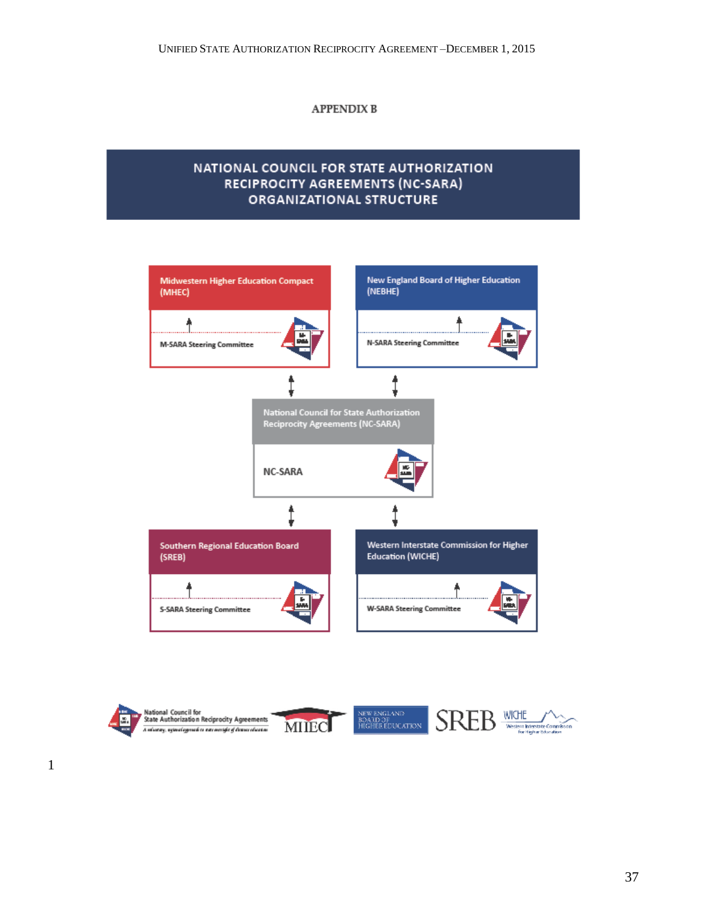#### **APPENDIX B**

#### NATIONAL COUNCIL FOR STATE AUTHORIZATION RECIPROCITY AGREEMENTS (NC-SARA) **ORGANIZATIONAL STRUCTURE**



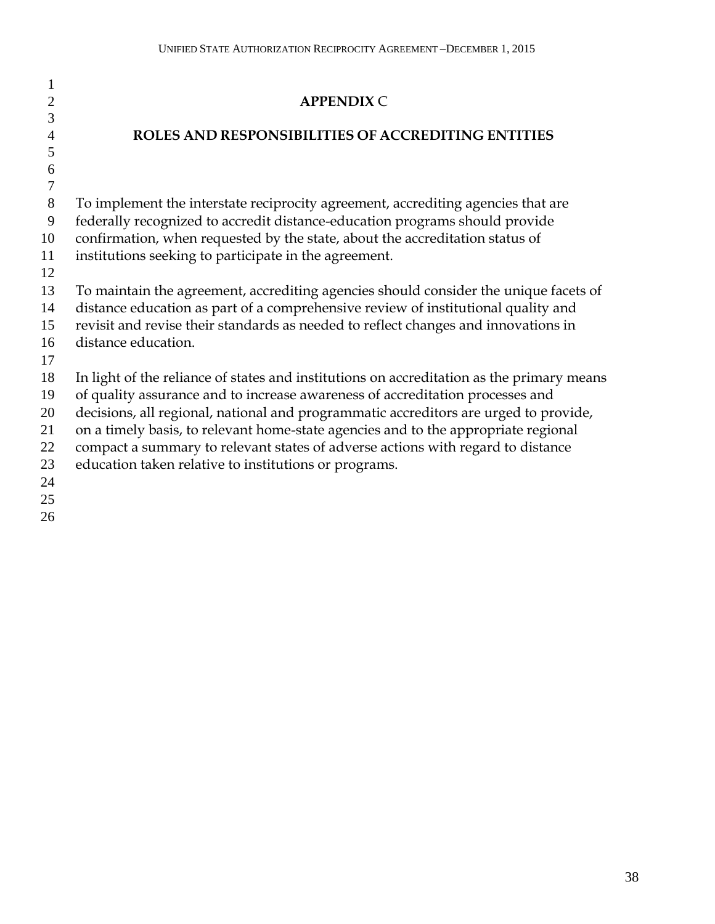| 1              |                                                                                           |
|----------------|-------------------------------------------------------------------------------------------|
| $\overline{2}$ | <b>APPENDIX C</b>                                                                         |
| 3              |                                                                                           |
| $\overline{4}$ | ROLES AND RESPONSIBILITIES OF ACCREDITING ENTITIES                                        |
| 5              |                                                                                           |
| 6<br>$\tau$    |                                                                                           |
| 8              | To implement the interstate reciprocity agreement, accrediting agencies that are          |
| 9              | federally recognized to accredit distance-education programs should provide               |
| 10             | confirmation, when requested by the state, about the accreditation status of              |
| 11             | institutions seeking to participate in the agreement.                                     |
| 12             |                                                                                           |
| 13             | To maintain the agreement, accrediting agencies should consider the unique facets of      |
| 14             | distance education as part of a comprehensive review of institutional quality and         |
| 15             | revisit and revise their standards as needed to reflect changes and innovations in        |
| 16             | distance education.                                                                       |
| 17             |                                                                                           |
| 18             | In light of the reliance of states and institutions on accreditation as the primary means |
| 19             | of quality assurance and to increase awareness of accreditation processes and             |
| 20             | decisions, all regional, national and programmatic accreditors are urged to provide,      |
| 21             | on a timely basis, to relevant home-state agencies and to the appropriate regional        |
| 22             | compact a summary to relevant states of adverse actions with regard to distance           |
| 23             | education taken relative to institutions or programs.                                     |
| 24             |                                                                                           |
| 25             |                                                                                           |
| 26             |                                                                                           |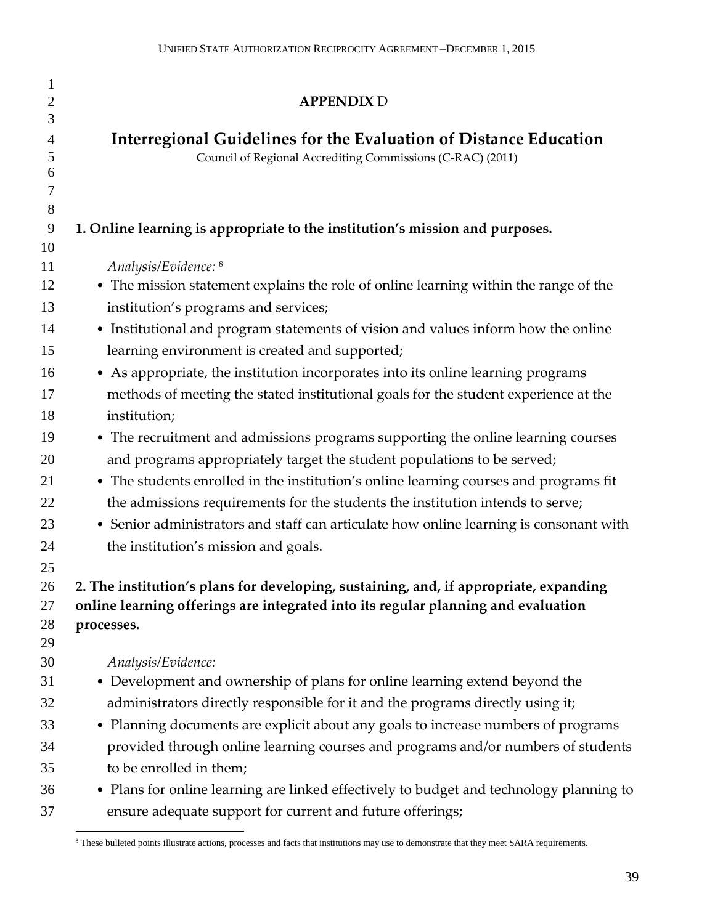| 1<br>$\overline{2}$ | <b>APPENDIX D</b>                                                                       |
|---------------------|-----------------------------------------------------------------------------------------|
| 3                   |                                                                                         |
| 4                   | Interregional Guidelines for the Evaluation of Distance Education                       |
| 5<br>6              | Council of Regional Accrediting Commissions (C-RAC) (2011)                              |
| $\boldsymbol{7}$    |                                                                                         |
| 8                   |                                                                                         |
| 9                   | 1. Online learning is appropriate to the institution's mission and purposes.            |
| 10                  |                                                                                         |
| 11                  | Analysis/Evidence: 8                                                                    |
| 12                  | • The mission statement explains the role of online learning within the range of the    |
| 13                  | institution's programs and services;                                                    |
| 14                  | • Institutional and program statements of vision and values inform how the online       |
| 15                  | learning environment is created and supported;                                          |
| 16                  | • As appropriate, the institution incorporates into its online learning programs        |
| 17                  | methods of meeting the stated institutional goals for the student experience at the     |
| 18                  | institution;                                                                            |
| 19                  | • The recruitment and admissions programs supporting the online learning courses        |
| 20                  | and programs appropriately target the student populations to be served;                 |
| 21                  | • The students enrolled in the institution's online learning courses and programs fit   |
| 22                  | the admissions requirements for the students the institution intends to serve;          |
| 23                  | • Senior administrators and staff can articulate how online learning is consonant with  |
| 24                  | the institution's mission and goals.                                                    |
| 25                  |                                                                                         |
| 26                  | 2. The institution's plans for developing, sustaining, and, if appropriate, expanding   |
| 27                  | online learning offerings are integrated into its regular planning and evaluation       |
| 28                  | processes.                                                                              |
| 29                  |                                                                                         |
| 30                  | Analysis/Evidence:                                                                      |
| 31                  | • Development and ownership of plans for online learning extend beyond the              |
| 32                  | administrators directly responsible for it and the programs directly using it;          |
| 33                  | • Planning documents are explicit about any goals to increase numbers of programs       |
| 34                  | provided through online learning courses and programs and/or numbers of students        |
| 35                  | to be enrolled in them;                                                                 |
| 36                  | • Plans for online learning are linked effectively to budget and technology planning to |
| 37                  | ensure adequate support for current and future offerings;                               |

 $\overline{a}$ <sup>8</sup> These bulleted points illustrate actions, processes and facts that institutions may use to demonstrate that they meet SARA requirements.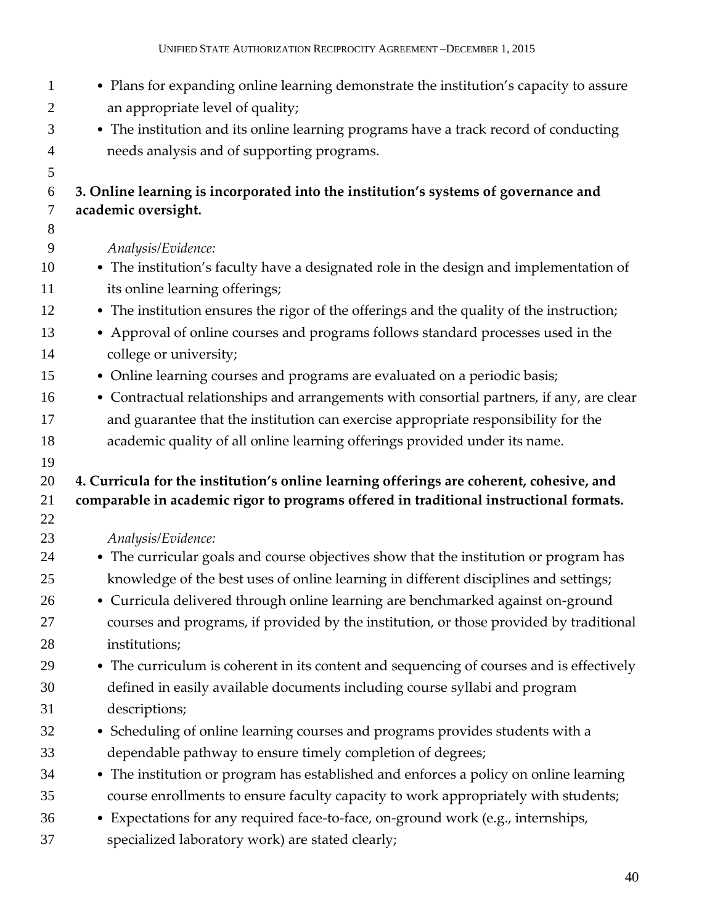| $\mathbf{1}$<br>$\overline{2}$ | • Plans for expanding online learning demonstrate the institution's capacity to assure<br>an appropriate level of quality; |
|--------------------------------|----------------------------------------------------------------------------------------------------------------------------|
| 3                              | • The institution and its online learning programs have a track record of conducting                                       |
| $\overline{4}$                 | needs analysis and of supporting programs.                                                                                 |
| 5                              |                                                                                                                            |
| 6                              | 3. Online learning is incorporated into the institution's systems of governance and                                        |
| $\tau$                         | academic oversight.                                                                                                        |
| 8                              |                                                                                                                            |
| 9                              | Analysis/Evidence:                                                                                                         |
| 10                             | • The institution's faculty have a designated role in the design and implementation of                                     |
| 11                             | its online learning offerings;                                                                                             |
| 12                             | • The institution ensures the rigor of the offerings and the quality of the instruction;                                   |
| 13                             | • Approval of online courses and programs follows standard processes used in the                                           |
| 14                             | college or university;                                                                                                     |
| 15                             | • Online learning courses and programs are evaluated on a periodic basis;                                                  |
| 16                             | • Contractual relationships and arrangements with consortial partners, if any, are clear                                   |
| 17                             | and guarantee that the institution can exercise appropriate responsibility for the                                         |
| 18                             | academic quality of all online learning offerings provided under its name.                                                 |
|                                |                                                                                                                            |
| 19                             |                                                                                                                            |
| 20                             | 4. Curricula for the institution's online learning offerings are coherent, cohesive, and                                   |
| 21                             | comparable in academic rigor to programs offered in traditional instructional formats.                                     |
| 22                             |                                                                                                                            |
| 23                             | Analysis/Evidence:                                                                                                         |
| 24                             | • The curricular goals and course objectives show that the institution or program has                                      |
| 25                             | knowledge of the best uses of online learning in different disciplines and settings;                                       |
| 26                             | • Curricula delivered through online learning are benchmarked against on-ground                                            |
| 27                             | courses and programs, if provided by the institution, or those provided by traditional                                     |
| 28                             | institutions;                                                                                                              |
| 29                             | • The curriculum is coherent in its content and sequencing of courses and is effectively                                   |
| 30                             | defined in easily available documents including course syllabi and program                                                 |
| 31                             | descriptions;                                                                                                              |
| 32                             | • Scheduling of online learning courses and programs provides students with a                                              |
| 33                             | dependable pathway to ensure timely completion of degrees;                                                                 |
| 34                             | • The institution or program has established and enforces a policy on online learning                                      |
| 35                             | course enrollments to ensure faculty capacity to work appropriately with students;                                         |
| 36                             | • Expectations for any required face-to-face, on-ground work (e.g., internships,                                           |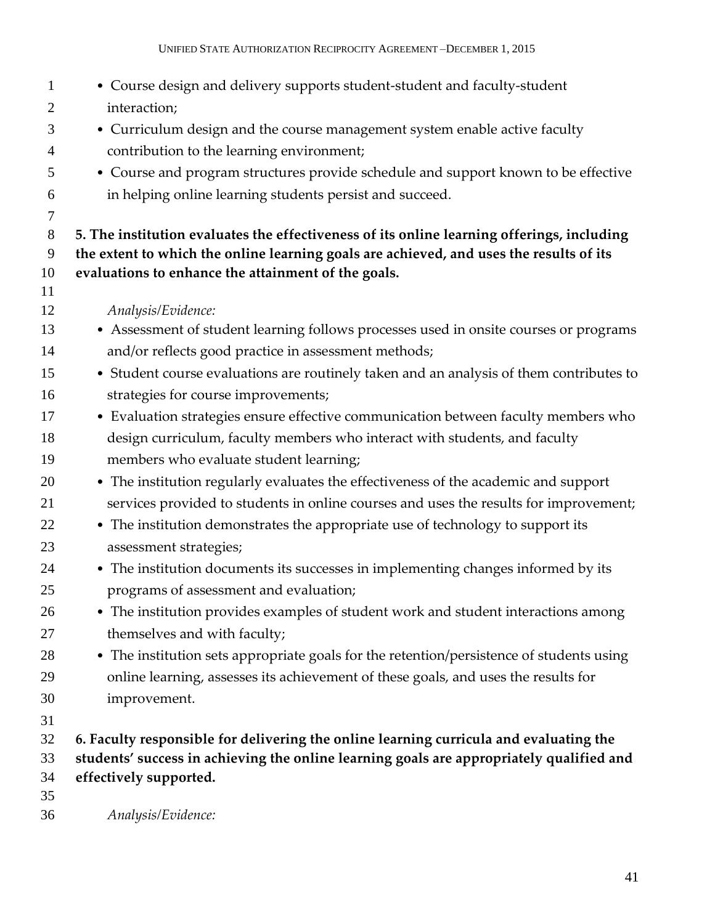| $\mathbf{1}$   | • Course design and delivery supports student-student and faculty-student                  |
|----------------|--------------------------------------------------------------------------------------------|
| $\overline{2}$ | interaction;                                                                               |
| 3              | • Curriculum design and the course management system enable active faculty                 |
| $\overline{4}$ | contribution to the learning environment;                                                  |
| 5              | • Course and program structures provide schedule and support known to be effective         |
| 6              | in helping online learning students persist and succeed.                                   |
| $\tau$         |                                                                                            |
| 8              | 5. The institution evaluates the effectiveness of its online learning offerings, including |
| 9              | the extent to which the online learning goals are achieved, and uses the results of its    |
| 10             | evaluations to enhance the attainment of the goals.                                        |
| 11             |                                                                                            |
| 12             | Analysis/Evidence:                                                                         |
| 13             | • Assessment of student learning follows processes used in onsite courses or programs      |
| 14             | and/or reflects good practice in assessment methods;                                       |
| 15             | • Student course evaluations are routinely taken and an analysis of them contributes to    |
| 16             | strategies for course improvements;                                                        |
| 17             | • Evaluation strategies ensure effective communication between faculty members who         |
| 18             | design curriculum, faculty members who interact with students, and faculty                 |
| 19             | members who evaluate student learning;                                                     |
| 20             | • The institution regularly evaluates the effectiveness of the academic and support        |
| 21             | services provided to students in online courses and uses the results for improvement;      |
| 22             | • The institution demonstrates the appropriate use of technology to support its            |
| 23             | assessment strategies;                                                                     |
| 24             | • The institution documents its successes in implementing changes informed by its          |
| 25             | programs of assessment and evaluation;                                                     |
| 26             | • The institution provides examples of student work and student interactions among         |
| 27             | themselves and with faculty;                                                               |
| 28             | • The institution sets appropriate goals for the retention/persistence of students using   |
| 29             | online learning, assesses its achievement of these goals, and uses the results for         |
| 30             | improvement.                                                                               |
| 31             |                                                                                            |
| 32             | 6. Faculty responsible for delivering the online learning curricula and evaluating the     |
| 33             | students' success in achieving the online learning goals are appropriately qualified and   |
| 34             | effectively supported.                                                                     |
| 35             |                                                                                            |
| 36             | Analysis/Evidence:                                                                         |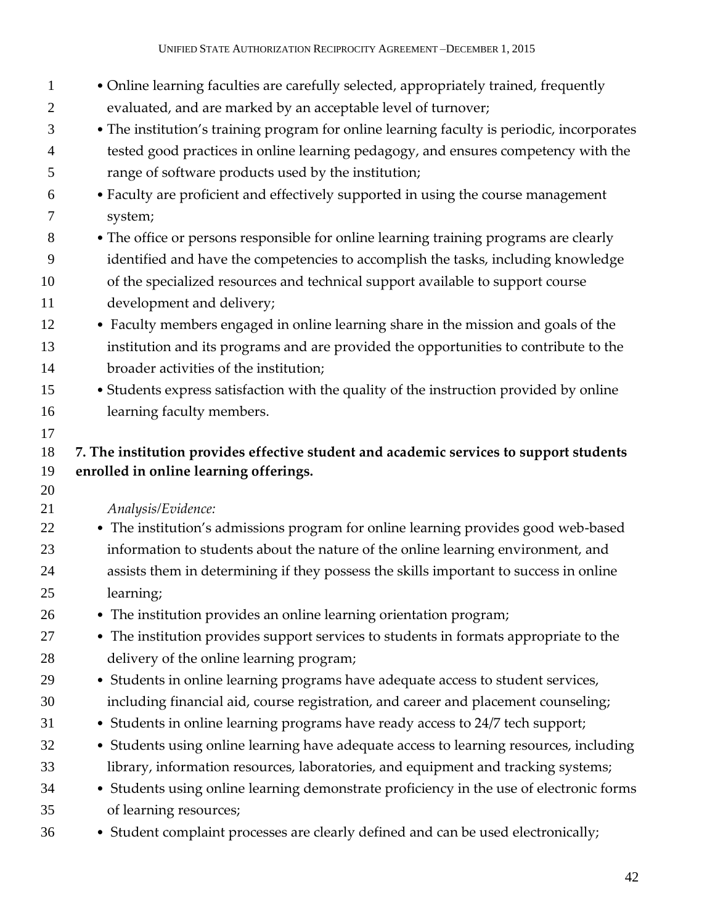| $\mathbf{1}$        | • Online learning faculties are carefully selected, appropriately trained, frequently                                                     |
|---------------------|-------------------------------------------------------------------------------------------------------------------------------------------|
| $\overline{c}$      | evaluated, and are marked by an acceptable level of turnover;                                                                             |
| 3                   | • The institution's training program for online learning faculty is periodic, incorporates                                                |
| $\overline{4}$<br>5 | tested good practices in online learning pedagogy, and ensures competency with the<br>range of software products used by the institution; |
| 6                   | • Faculty are proficient and effectively supported in using the course management                                                         |
| 7                   | system;                                                                                                                                   |
| 8                   | • The office or persons responsible for online learning training programs are clearly                                                     |
| 9                   | identified and have the competencies to accomplish the tasks, including knowledge                                                         |
| 10                  | of the specialized resources and technical support available to support course                                                            |
| 11                  | development and delivery;                                                                                                                 |
| 12                  | • Faculty members engaged in online learning share in the mission and goals of the                                                        |
| 13                  | institution and its programs and are provided the opportunities to contribute to the                                                      |
| 14                  | broader activities of the institution;                                                                                                    |
| 15                  | • Students express satisfaction with the quality of the instruction provided by online                                                    |
| 16                  | learning faculty members.                                                                                                                 |
| 17                  |                                                                                                                                           |
| 18                  | 7. The institution provides effective student and academic services to support students                                                   |
| 19                  | enrolled in online learning offerings.                                                                                                    |
| 20                  |                                                                                                                                           |
| 21<br>22            | Analysis/Evidence:<br>• The institution's admissions program for online learning provides good web-based                                  |
| 23                  | information to students about the nature of the online learning environment, and                                                          |
| 24                  | assists them in determining if they possess the skills important to success in online                                                     |
| 25                  | learning;                                                                                                                                 |
| 26                  | • The institution provides an online learning orientation program;                                                                        |
| 27                  | • The institution provides support services to students in formats appropriate to the                                                     |
| 28                  | delivery of the online learning program;                                                                                                  |
| 29                  | • Students in online learning programs have adequate access to student services,                                                          |
| 30                  | including financial aid, course registration, and career and placement counseling;                                                        |
| 31                  | • Students in online learning programs have ready access to 24/7 tech support;                                                            |
| 32                  |                                                                                                                                           |
| 33                  | • Students using online learning have adequate access to learning resources, including                                                    |
| 34                  | library, information resources, laboratories, and equipment and tracking systems;                                                         |
|                     | • Students using online learning demonstrate proficiency in the use of electronic forms                                                   |
| 35                  | of learning resources;                                                                                                                    |
| 36                  | • Student complaint processes are clearly defined and can be used electronically;                                                         |